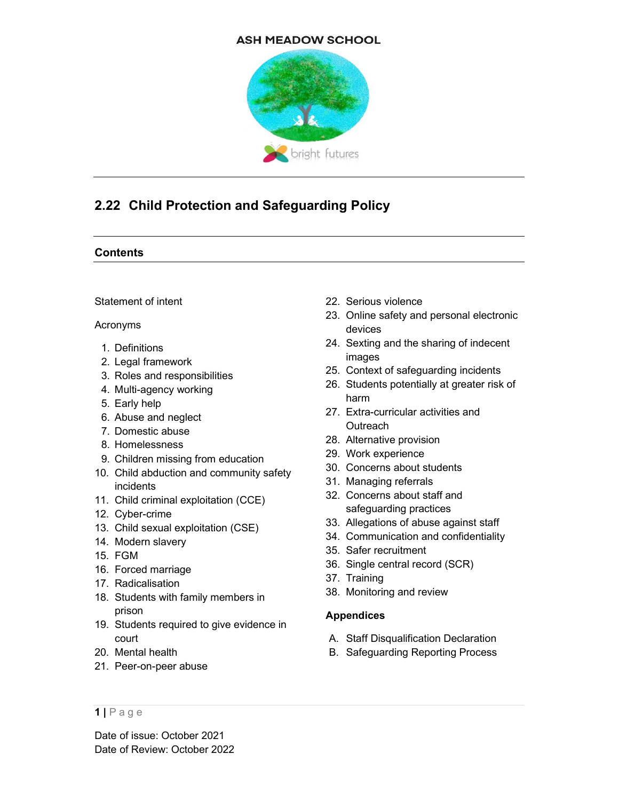#### **ASH MEADOW SCHOOL**



# 2.22 Child Protection and Safeguarding Policy

#### **Contents**

#### Statement of intent

#### Acronyms

- 1. Definitions
- 2. Legal framework
- 3. Roles and responsibilities
- 4. Multi-agency working
- 5. Early help
- 6. Abuse and neglect
- 7. Domestic abuse
- 8. Homelessness
- 9. Children missing from education
- 10. Child abduction and community safety incidents
- 11. Child criminal exploitation (CCE)
- 12. Cyber-crime
- 13. Child sexual exploitation (CSE)
- 14. Modern slavery
- 15. FGM
- 16. Forced marriage
- 17. Radicalisation
- 18. Students with family members in prison
- 19. Students required to give evidence in court
- 20. Mental health
- 21. Peer-on-peer abuse

#### 22. Serious violence

- 23. Online safety and personal electronic devices
- 24. Sexting and the sharing of indecent images
- 25. Context of safeguarding incidents
- 26. Students potentially at greater risk of harm
- 27. Extra-curricular activities and **Outreach**
- 28. Alternative provision
- 29. Work experience
- 30. Concerns about students
- 31. Managing referrals
- 32. Concerns about staff and safeguarding practices
- 33. Allegations of abuse against staff
- 34. Communication and confidentiality
- 35. Safer recruitment
- 36. Single central record (SCR)
- 37. Training
- 38. Monitoring and review

## Appendices

- A. Staff Disqualification Declaration
- B. Safeguarding Reporting Process

 $1$ | Page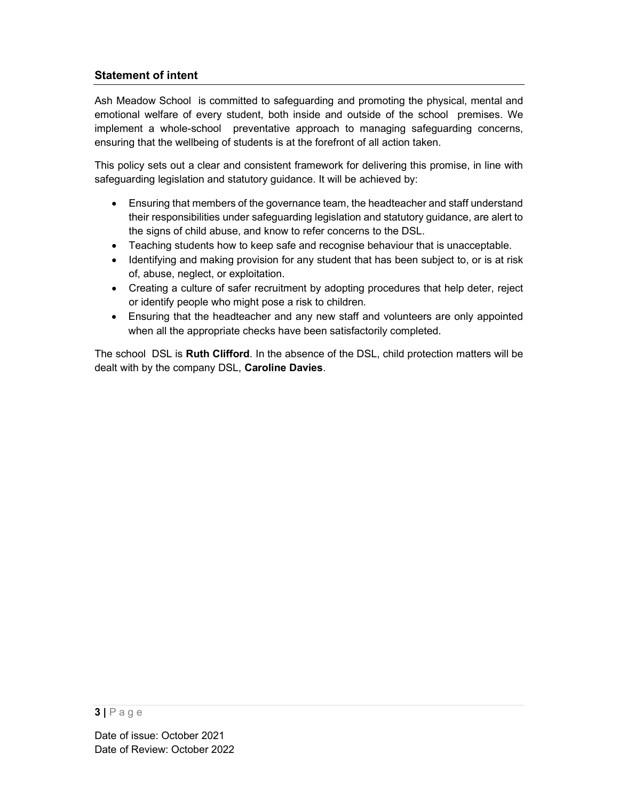## Statement of intent

Ash Meadow School is committed to safeguarding and promoting the physical, mental and emotional welfare of every student, both inside and outside of the school premises. We implement a whole-school preventative approach to managing safeguarding concerns, ensuring that the wellbeing of students is at the forefront of all action taken.

This policy sets out a clear and consistent framework for delivering this promise, in line with safeguarding legislation and statutory guidance. It will be achieved by:

- Ensuring that members of the governance team, the headteacher and staff understand their responsibilities under safeguarding legislation and statutory guidance, are alert to the signs of child abuse, and know to refer concerns to the DSL.
- Teaching students how to keep safe and recognise behaviour that is unacceptable.
- Identifying and making provision for any student that has been subject to, or is at risk of, abuse, neglect, or exploitation.
- Creating a culture of safer recruitment by adopting procedures that help deter, reject or identify people who might pose a risk to children.
- Ensuring that the headteacher and any new staff and volunteers are only appointed when all the appropriate checks have been satisfactorily completed.

The school DSL is Ruth Clifford. In the absence of the DSL, child protection matters will be dealt with by the company DSL, Caroline Davies.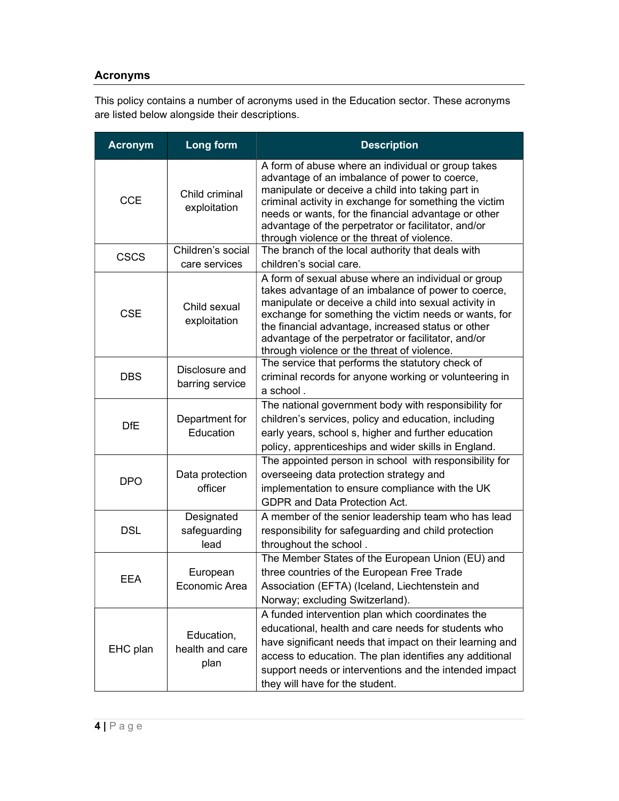## Acronyms

This policy contains a number of acronyms used in the Education sector. These acronyms are listed below alongside their descriptions.

| <b>Acronym</b> | <b>Long form</b>                      | <b>Description</b>                                                                                                                                                                                                                                                                                                                                                                       |  |  |
|----------------|---------------------------------------|------------------------------------------------------------------------------------------------------------------------------------------------------------------------------------------------------------------------------------------------------------------------------------------------------------------------------------------------------------------------------------------|--|--|
| <b>CCE</b>     | Child criminal<br>exploitation        | A form of abuse where an individual or group takes<br>advantage of an imbalance of power to coerce,<br>manipulate or deceive a child into taking part in<br>criminal activity in exchange for something the victim<br>needs or wants, for the financial advantage or other<br>advantage of the perpetrator or facilitator, and/or<br>through violence or the threat of violence.         |  |  |
| <b>CSCS</b>    | Children's social<br>care services    | The branch of the local authority that deals with<br>children's social care.                                                                                                                                                                                                                                                                                                             |  |  |
| <b>CSE</b>     | Child sexual<br>exploitation          | A form of sexual abuse where an individual or group<br>takes advantage of an imbalance of power to coerce,<br>manipulate or deceive a child into sexual activity in<br>exchange for something the victim needs or wants, for<br>the financial advantage, increased status or other<br>advantage of the perpetrator or facilitator, and/or<br>through violence or the threat of violence. |  |  |
| <b>DBS</b>     | Disclosure and<br>barring service     | The service that performs the statutory check of<br>criminal records for anyone working or volunteering in<br>a school.                                                                                                                                                                                                                                                                  |  |  |
| <b>DfE</b>     | Department for<br>Education           | The national government body with responsibility for<br>children's services, policy and education, including<br>early years, school s, higher and further education<br>policy, apprenticeships and wider skills in England.                                                                                                                                                              |  |  |
| <b>DPO</b>     | Data protection<br>officer            | The appointed person in school with responsibility for<br>overseeing data protection strategy and<br>implementation to ensure compliance with the UK<br>GDPR and Data Protection Act.                                                                                                                                                                                                    |  |  |
| <b>DSL</b>     | Designated<br>safeguarding<br>lead    | A member of the senior leadership team who has lead<br>responsibility for safeguarding and child protection<br>throughout the school.                                                                                                                                                                                                                                                    |  |  |
| <b>EEA</b>     | European<br>Economic Area             | The Member States of the European Union (EU) and<br>three countries of the European Free Trade<br>Association (EFTA) (Iceland, Liechtenstein and<br>Norway; excluding Switzerland).                                                                                                                                                                                                      |  |  |
| EHC plan       | Education,<br>health and care<br>plan | A funded intervention plan which coordinates the<br>educational, health and care needs for students who<br>have significant needs that impact on their learning and<br>access to education. The plan identifies any additional<br>support needs or interventions and the intended impact<br>they will have for the student.                                                              |  |  |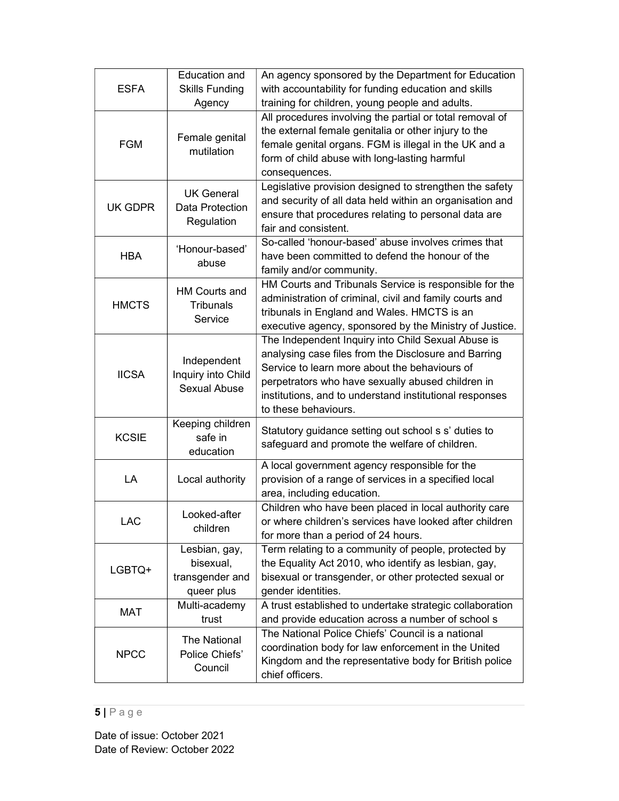| <b>ESFA</b>                                | <b>Education and</b><br><b>Skills Funding</b><br>Agency     | An agency sponsored by the Department for Education<br>with accountability for funding education and skills<br>training for children, young people and adults.                                                                                                                                      |  |
|--------------------------------------------|-------------------------------------------------------------|-----------------------------------------------------------------------------------------------------------------------------------------------------------------------------------------------------------------------------------------------------------------------------------------------------|--|
| Female genital<br><b>FGM</b><br>mutilation |                                                             | All procedures involving the partial or total removal of<br>the external female genitalia or other injury to the<br>female genital organs. FGM is illegal in the UK and a<br>form of child abuse with long-lasting harmful<br>consequences.                                                         |  |
| UK GDPR                                    | <b>UK General</b><br>Data Protection<br>Regulation          | Legislative provision designed to strengthen the safety<br>and security of all data held within an organisation and<br>ensure that procedures relating to personal data are<br>fair and consistent.                                                                                                 |  |
| <b>HBA</b>                                 | 'Honour-based'<br>abuse                                     | So-called 'honour-based' abuse involves crimes that<br>have been committed to defend the honour of the<br>family and/or community.                                                                                                                                                                  |  |
| <b>HMCTS</b>                               | <b>HM Courts and</b><br><b>Tribunals</b><br>Service         | HM Courts and Tribunals Service is responsible for the<br>administration of criminal, civil and family courts and<br>tribunals in England and Wales. HMCTS is an<br>executive agency, sponsored by the Ministry of Justice.                                                                         |  |
| <b>IICSA</b>                               | Independent<br>Inquiry into Child<br>Sexual Abuse           | The Independent Inquiry into Child Sexual Abuse is<br>analysing case files from the Disclosure and Barring<br>Service to learn more about the behaviours of<br>perpetrators who have sexually abused children in<br>institutions, and to understand institutional responses<br>to these behaviours. |  |
| <b>KCSIE</b>                               | Keeping children<br>safe in<br>education                    | Statutory guidance setting out school s s' duties to<br>safeguard and promote the welfare of children.                                                                                                                                                                                              |  |
| LA                                         | Local authority                                             | A local government agency responsible for the<br>provision of a range of services in a specified local<br>area, including education.                                                                                                                                                                |  |
| <b>LAC</b>                                 | Looked-after<br>children                                    | Children who have been placed in local authority care<br>or where children's services have looked after children<br>for more than a period of 24 hours.                                                                                                                                             |  |
| LGBTQ+                                     | Lesbian, gay,<br>bisexual,<br>transgender and<br>queer plus | Term relating to a community of people, protected by<br>the Equality Act 2010, who identify as lesbian, gay,<br>bisexual or transgender, or other protected sexual or<br>gender identities.                                                                                                         |  |
| MAT                                        | Multi-academy<br>trust                                      | A trust established to undertake strategic collaboration<br>and provide education across a number of school s                                                                                                                                                                                       |  |
| <b>NPCC</b>                                | The National<br>Police Chiefs'<br>Council                   | The National Police Chiefs' Council is a national<br>coordination body for law enforcement in the United<br>Kingdom and the representative body for British police<br>chief officers.                                                                                                               |  |

## $5 | P \text{age}$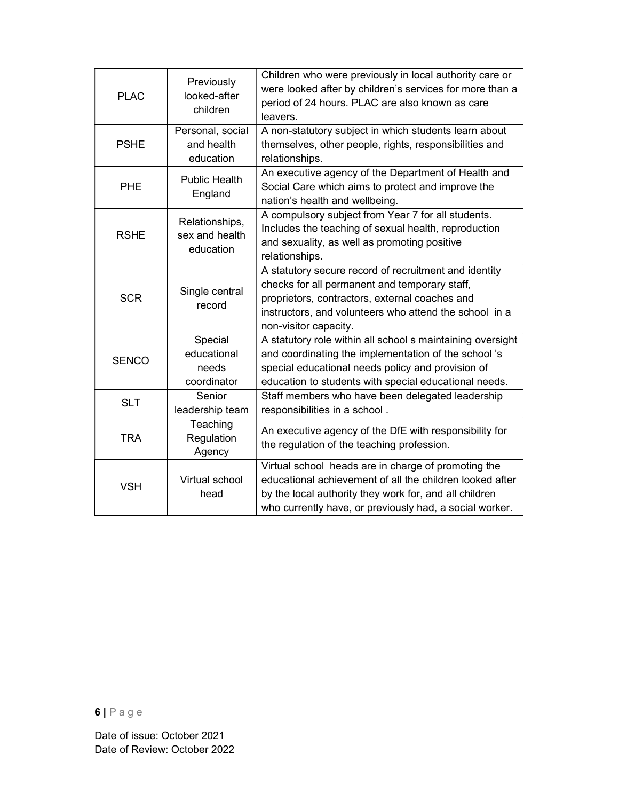|                          | <b>PLAC</b>  | Previously<br>looked-after<br>children         | Children who were previously in local authority care or<br>were looked after by children's services for more than a<br>period of 24 hours. PLAC are also known as care<br>leavers.                                                          |  |
|--------------------------|--------------|------------------------------------------------|---------------------------------------------------------------------------------------------------------------------------------------------------------------------------------------------------------------------------------------------|--|
|                          |              | Personal, social                               | A non-statutory subject in which students learn about                                                                                                                                                                                       |  |
|                          | <b>PSHE</b>  | and health                                     | themselves, other people, rights, responsibilities and                                                                                                                                                                                      |  |
|                          |              | education                                      | relationships.                                                                                                                                                                                                                              |  |
|                          | <b>PHE</b>   | <b>Public Health</b><br>England                | An executive agency of the Department of Health and<br>Social Care which aims to protect and improve the<br>nation's health and wellbeing.                                                                                                  |  |
|                          | <b>RSHE</b>  | Relationships,<br>sex and health<br>education  | A compulsory subject from Year 7 for all students.<br>Includes the teaching of sexual health, reproduction<br>and sexuality, as well as promoting positive<br>relationships.                                                                |  |
|                          | <b>SCR</b>   | Single central<br>record                       | A statutory secure record of recruitment and identity<br>checks for all permanent and temporary staff,<br>proprietors, contractors, external coaches and<br>instructors, and volunteers who attend the school in a<br>non-visitor capacity. |  |
|                          | <b>SENCO</b> | Special<br>educational<br>needs<br>coordinator | A statutory role within all school s maintaining oversight<br>and coordinating the implementation of the school's<br>special educational needs policy and provision of<br>education to students with special educational needs.             |  |
|                          | <b>SLT</b>   | Senior<br>leadership team                      | Staff members who have been delegated leadership<br>responsibilities in a school.                                                                                                                                                           |  |
| <b>TRA</b><br><b>VSH</b> |              | Teaching<br>Regulation<br>Agency               | An executive agency of the DfE with responsibility for<br>the regulation of the teaching profession.                                                                                                                                        |  |
|                          |              | Virtual school<br>head                         | Virtual school heads are in charge of promoting the<br>educational achievement of all the children looked after<br>by the local authority they work for, and all children<br>who currently have, or previously had, a social worker.        |  |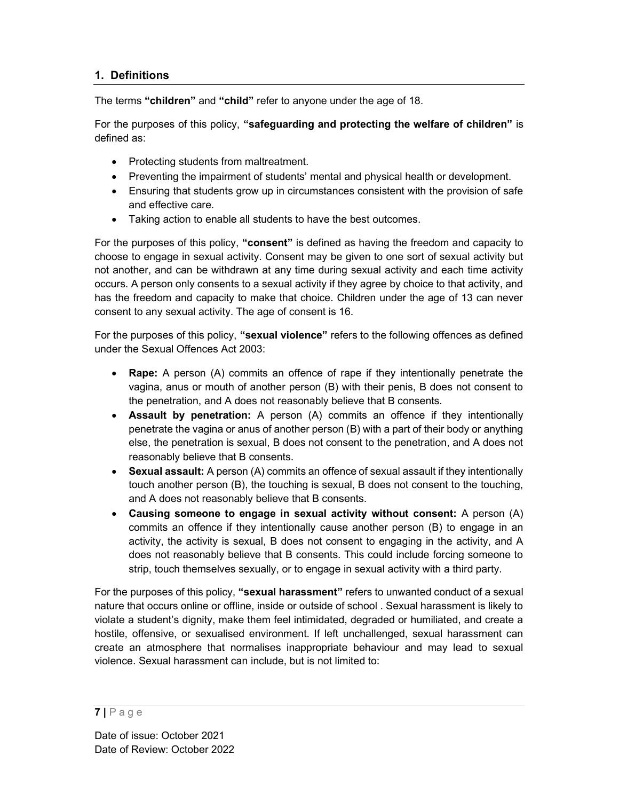## 1. Definitions

The terms "children" and "child" refer to anyone under the age of 18.

For the purposes of this policy, "safequarding and protecting the welfare of children" is defined as:

- Protecting students from maltreatment.
- Preventing the impairment of students' mental and physical health or development.
- Ensuring that students grow up in circumstances consistent with the provision of safe and effective care.
- Taking action to enable all students to have the best outcomes.

For the purposes of this policy, "consent" is defined as having the freedom and capacity to choose to engage in sexual activity. Consent may be given to one sort of sexual activity but not another, and can be withdrawn at any time during sexual activity and each time activity occurs. A person only consents to a sexual activity if they agree by choice to that activity, and has the freedom and capacity to make that choice. Children under the age of 13 can never consent to any sexual activity. The age of consent is 16.

For the purposes of this policy, "sexual violence" refers to the following offences as defined under the Sexual Offences Act 2003:

- Rape: A person (A) commits an offence of rape if they intentionally penetrate the vagina, anus or mouth of another person (B) with their penis, B does not consent to the penetration, and A does not reasonably believe that B consents.
- Assault by penetration: A person (A) commits an offence if they intentionally penetrate the vagina or anus of another person (B) with a part of their body or anything else, the penetration is sexual, B does not consent to the penetration, and A does not reasonably believe that B consents.
- Sexual assault: A person (A) commits an offence of sexual assault if they intentionally touch another person (B), the touching is sexual, B does not consent to the touching, and A does not reasonably believe that B consents.
- Causing someone to engage in sexual activity without consent: A person (A) commits an offence if they intentionally cause another person (B) to engage in an activity, the activity is sexual, B does not consent to engaging in the activity, and A does not reasonably believe that B consents. This could include forcing someone to strip, touch themselves sexually, or to engage in sexual activity with a third party.

For the purposes of this policy, "sexual harassment" refers to unwanted conduct of a sexual nature that occurs online or offline, inside or outside of school . Sexual harassment is likely to violate a student's dignity, make them feel intimidated, degraded or humiliated, and create a hostile, offensive, or sexualised environment. If left unchallenged, sexual harassment can create an atmosphere that normalises inappropriate behaviour and may lead to sexual violence. Sexual harassment can include, but is not limited to:

 $7 P a g e$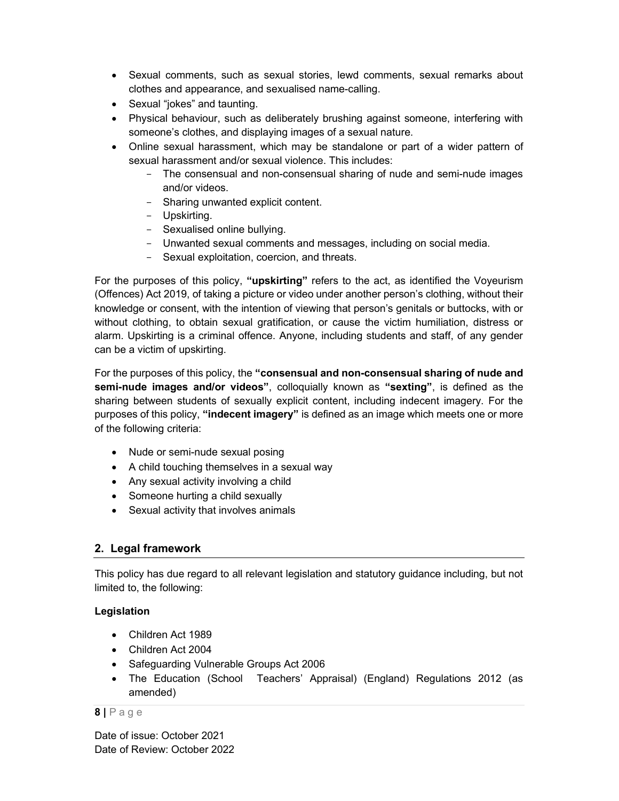- Sexual comments, such as sexual stories, lewd comments, sexual remarks about clothes and appearance, and sexualised name-calling.
- Sexual "jokes" and taunting.
- Physical behaviour, such as deliberately brushing against someone, interfering with someone's clothes, and displaying images of a sexual nature.
- Online sexual harassment, which may be standalone or part of a wider pattern of sexual harassment and/or sexual violence. This includes:
	- The consensual and non-consensual sharing of nude and semi-nude images and/or videos.
	- Sharing unwanted explicit content.
	- Upskirting.
	- Sexualised online bullying.
	- Unwanted sexual comments and messages, including on social media.
	- Sexual exploitation, coercion, and threats.

For the purposes of this policy, "upskirting" refers to the act, as identified the Voyeurism (Offences) Act 2019, of taking a picture or video under another person's clothing, without their knowledge or consent, with the intention of viewing that person's genitals or buttocks, with or without clothing, to obtain sexual gratification, or cause the victim humiliation, distress or alarm. Upskirting is a criminal offence. Anyone, including students and staff, of any gender can be a victim of upskirting.

For the purposes of this policy, the "consensual and non-consensual sharing of nude and semi-nude images and/or videos", colloquially known as "sexting", is defined as the sharing between students of sexually explicit content, including indecent imagery. For the purposes of this policy, "indecent imagery" is defined as an image which meets one or more of the following criteria:

- Nude or semi-nude sexual posing
- A child touching themselves in a sexual way
- Any sexual activity involving a child
- Someone hurting a child sexually
- Sexual activity that involves animals

## 2. Legal framework

This policy has due regard to all relevant legislation and statutory guidance including, but not limited to, the following:

## Legislation

- Children Act 1989
- Children Act 2004
- Safeguarding Vulnerable Groups Act 2006
- The Education (School Teachers' Appraisal) (England) Regulations 2012 (as amended)

## $8$  | P a g e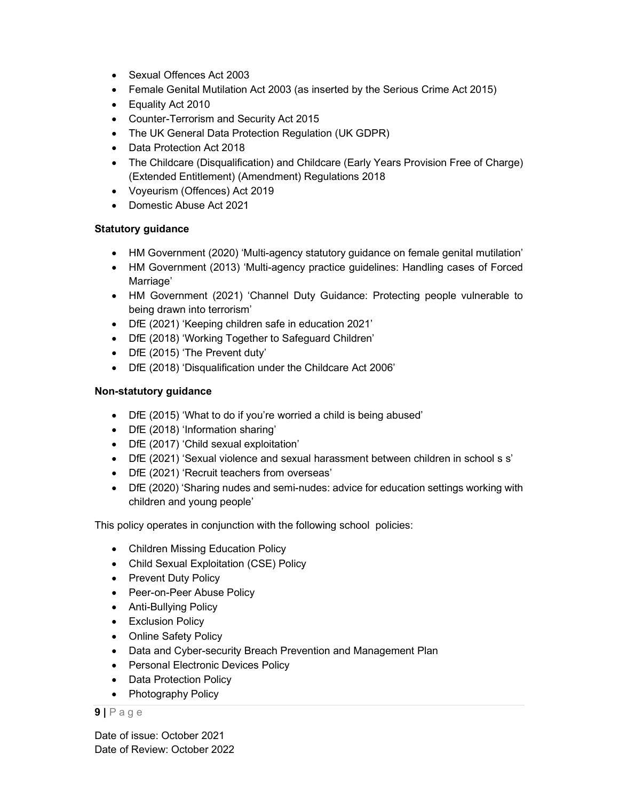- Sexual Offences Act 2003
- Female Genital Mutilation Act 2003 (as inserted by the Serious Crime Act 2015)
- Equality Act 2010
- Counter-Terrorism and Security Act 2015
- The UK General Data Protection Regulation (UK GDPR)
- Data Protection Act 2018
- The Childcare (Disqualification) and Childcare (Early Years Provision Free of Charge) (Extended Entitlement) (Amendment) Regulations 2018
- Voyeurism (Offences) Act 2019
- Domestic Abuse Act 2021

#### Statutory guidance

- HM Government (2020) 'Multi-agency statutory guidance on female genital mutilation'
- HM Government (2013) 'Multi-agency practice guidelines: Handling cases of Forced Marriage'
- HM Government (2021) 'Channel Duty Guidance: Protecting people vulnerable to being drawn into terrorism'
- DfE (2021) 'Keeping children safe in education 2021'
- DfE (2018) 'Working Together to Safeguard Children'
- DfE (2015) 'The Prevent duty'
- DfE (2018) 'Disqualification under the Childcare Act 2006'

#### Non-statutory guidance

- DfE (2015) 'What to do if you're worried a child is being abused'
- DfE (2018) 'Information sharing'
- DfE (2017) 'Child sexual exploitation'
- DfE (2021) 'Sexual violence and sexual harassment between children in school s s'
- DfE (2021) 'Recruit teachers from overseas'
- DfE (2020) 'Sharing nudes and semi-nudes: advice for education settings working with children and young people'

This policy operates in conjunction with the following school policies:

- Children Missing Education Policy
- Child Sexual Exploitation (CSE) Policy
- Prevent Duty Policy
- Peer-on-Peer Abuse Policy
- Anti-Bullying Policy
- Exclusion Policy
- Online Safety Policy
- Data and Cyber-security Breach Prevention and Management Plan
- Personal Electronic Devices Policy
- Data Protection Policy
- Photography Policy

 $9$  | P a g e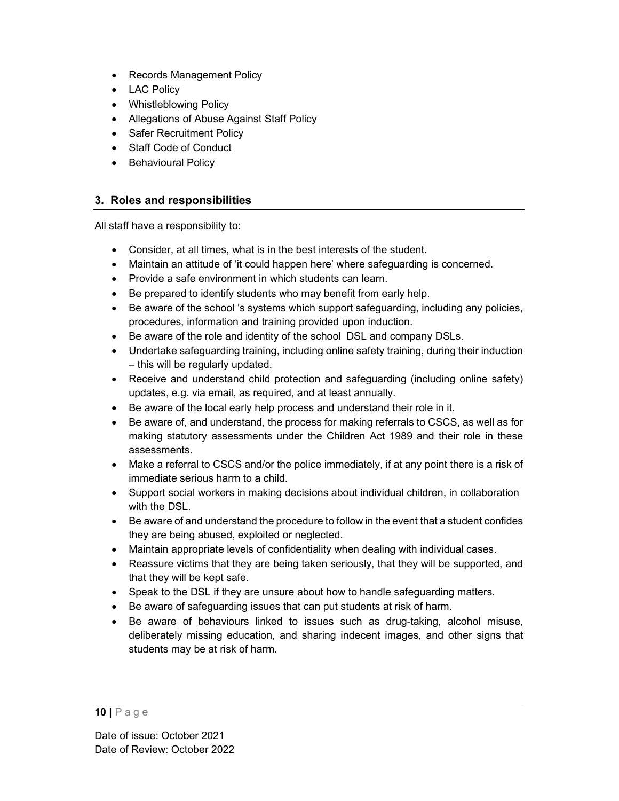- Records Management Policy
- LAC Policy
- Whistleblowing Policy
- Allegations of Abuse Against Staff Policy
- Safer Recruitment Policy
- Staff Code of Conduct
- Behavioural Policy

## 3. Roles and responsibilities

All staff have a responsibility to:

- Consider, at all times, what is in the best interests of the student.
- Maintain an attitude of 'it could happen here' where safeguarding is concerned.
- Provide a safe environment in which students can learn.
- Be prepared to identify students who may benefit from early help.
- Be aware of the school 's systems which support safeguarding, including any policies, procedures, information and training provided upon induction.
- Be aware of the role and identity of the school DSL and company DSLs.
- Undertake safeguarding training, including online safety training, during their induction – this will be regularly updated.
- Receive and understand child protection and safeguarding (including online safety) updates, e.g. via email, as required, and at least annually.
- Be aware of the local early help process and understand their role in it.
- Be aware of, and understand, the process for making referrals to CSCS, as well as for making statutory assessments under the Children Act 1989 and their role in these assessments.
- Make a referral to CSCS and/or the police immediately, if at any point there is a risk of immediate serious harm to a child.
- Support social workers in making decisions about individual children, in collaboration with the DSL.
- Be aware of and understand the procedure to follow in the event that a student confides they are being abused, exploited or neglected.
- Maintain appropriate levels of confidentiality when dealing with individual cases.
- Reassure victims that they are being taken seriously, that they will be supported, and that they will be kept safe.
- Speak to the DSL if they are unsure about how to handle safeguarding matters.
- Be aware of safeguarding issues that can put students at risk of harm.
- Be aware of behaviours linked to issues such as drug-taking, alcohol misuse, deliberately missing education, and sharing indecent images, and other signs that students may be at risk of harm.

<sup>10 |</sup> P a g e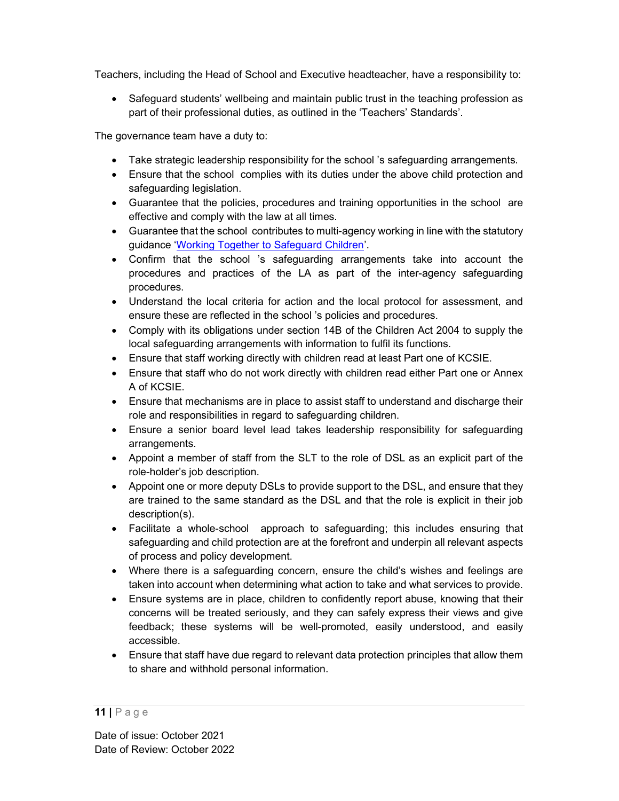Teachers, including the Head of School and Executive headteacher, have a responsibility to:

• Safeguard students' wellbeing and maintain public trust in the teaching profession as part of their professional duties, as outlined in the 'Teachers' Standards'.

The governance team have a duty to:

- Take strategic leadership responsibility for the school 's safeguarding arrangements.
- Ensure that the school complies with its duties under the above child protection and safeguarding legislation.
- Guarantee that the policies, procedures and training opportunities in the school are effective and comply with the law at all times.
- Guarantee that the school contributes to multi-agency working in line with the statutory guidance 'Working Together to Safeguard Children'.
- Confirm that the school 's safeguarding arrangements take into account the procedures and practices of the LA as part of the inter-agency safeguarding procedures.
- Understand the local criteria for action and the local protocol for assessment, and ensure these are reflected in the school 's policies and procedures.
- Comply with its obligations under section 14B of the Children Act 2004 to supply the local safeguarding arrangements with information to fulfil its functions.
- Ensure that staff working directly with children read at least Part one of KCSIE.
- Ensure that staff who do not work directly with children read either Part one or Annex A of KCSIE.
- Ensure that mechanisms are in place to assist staff to understand and discharge their role and responsibilities in regard to safeguarding children.
- Ensure a senior board level lead takes leadership responsibility for safeguarding arrangements.
- Appoint a member of staff from the SLT to the role of DSL as an explicit part of the role-holder's job description.
- Appoint one or more deputy DSLs to provide support to the DSL, and ensure that they are trained to the same standard as the DSL and that the role is explicit in their job description(s).
- Facilitate a whole-school approach to safeguarding; this includes ensuring that safeguarding and child protection are at the forefront and underpin all relevant aspects of process and policy development.
- Where there is a safeguarding concern, ensure the child's wishes and feelings are taken into account when determining what action to take and what services to provide.
- Ensure systems are in place, children to confidently report abuse, knowing that their concerns will be treated seriously, and they can safely express their views and give feedback; these systems will be well-promoted, easily understood, and easily accessible.
- Ensure that staff have due regard to relevant data protection principles that allow them to share and withhold personal information.

<sup>11 |</sup> P a g e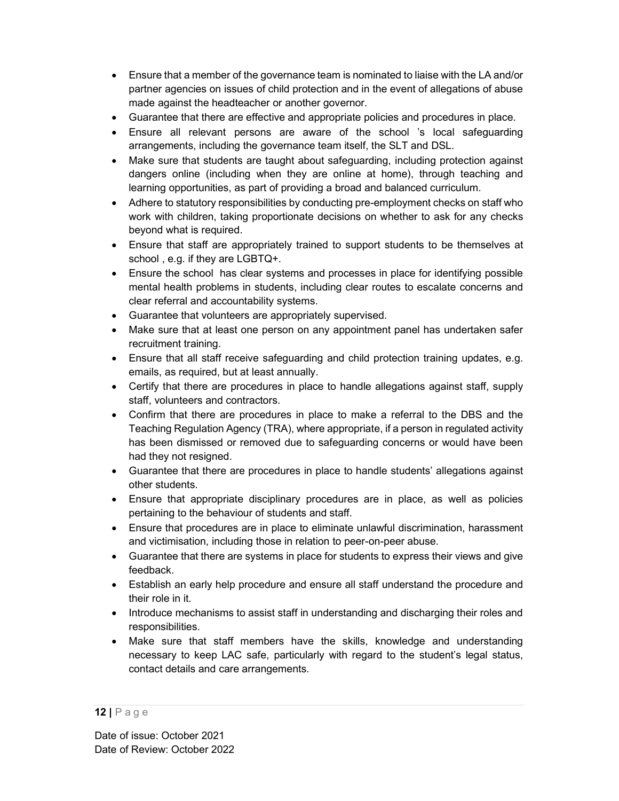- Ensure that a member of the governance team is nominated to liaise with the LA and/or partner agencies on issues of child protection and in the event of allegations of abuse made against the headteacher or another governor.
- Guarantee that there are effective and appropriate policies and procedures in place.
- Ensure all relevant persons are aware of the school 's local safeguarding arrangements, including the governance team itself, the SLT and DSL.
- Make sure that students are taught about safeguarding, including protection against dangers online (including when they are online at home), through teaching and learning opportunities, as part of providing a broad and balanced curriculum.
- Adhere to statutory responsibilities by conducting pre-employment checks on staff who work with children, taking proportionate decisions on whether to ask for any checks beyond what is required.
- Ensure that staff are appropriately trained to support students to be themselves at school , e.g. if they are LGBTQ+.
- Ensure the school has clear systems and processes in place for identifying possible mental health problems in students, including clear routes to escalate concerns and clear referral and accountability systems.
- Guarantee that volunteers are appropriately supervised.
- Make sure that at least one person on any appointment panel has undertaken safer recruitment training.
- Ensure that all staff receive safeguarding and child protection training updates, e.g. emails, as required, but at least annually.
- Certify that there are procedures in place to handle allegations against staff, supply staff, volunteers and contractors.
- Confirm that there are procedures in place to make a referral to the DBS and the Teaching Regulation Agency (TRA), where appropriate, if a person in regulated activity has been dismissed or removed due to safeguarding concerns or would have been had they not resigned.
- Guarantee that there are procedures in place to handle students' allegations against other students.
- Ensure that appropriate disciplinary procedures are in place, as well as policies pertaining to the behaviour of students and staff.
- Ensure that procedures are in place to eliminate unlawful discrimination, harassment and victimisation, including those in relation to peer-on-peer abuse.
- Guarantee that there are systems in place for students to express their views and give feedback.
- Establish an early help procedure and ensure all staff understand the procedure and their role in it.
- Introduce mechanisms to assist staff in understanding and discharging their roles and responsibilities.
- Make sure that staff members have the skills, knowledge and understanding necessary to keep LAC safe, particularly with regard to the student's legal status, contact details and care arrangements.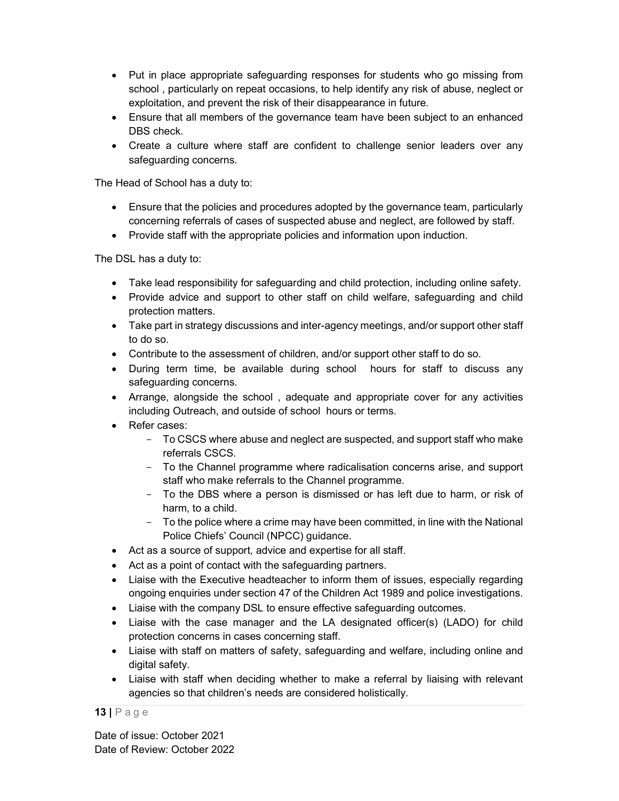- Put in place appropriate safeguarding responses for students who go missing from school , particularly on repeat occasions, to help identify any risk of abuse, neglect or exploitation, and prevent the risk of their disappearance in future.
- Ensure that all members of the governance team have been subject to an enhanced DBS check.
- Create a culture where staff are confident to challenge senior leaders over any safeguarding concerns.

The Head of School has a duty to:

- Ensure that the policies and procedures adopted by the governance team, particularly concerning referrals of cases of suspected abuse and neglect, are followed by staff.
- Provide staff with the appropriate policies and information upon induction.

The DSL has a duty to:

- Take lead responsibility for safeguarding and child protection, including online safety.
- Provide advice and support to other staff on child welfare, safeguarding and child protection matters.
- Take part in strategy discussions and inter-agency meetings, and/or support other staff to do so.
- Contribute to the assessment of children, and/or support other staff to do so.
- During term time, be available during school hours for staff to discuss any safeguarding concerns.
- Arrange, alongside the school , adequate and appropriate cover for any activities including Outreach, and outside of school hours or terms.
- Refer cases:
	- To CSCS where abuse and neglect are suspected, and support staff who make referrals CSCS.
	- To the Channel programme where radicalisation concerns arise, and support staff who make referrals to the Channel programme.
	- To the DBS where a person is dismissed or has left due to harm, or risk of harm, to a child.
	- To the police where a crime may have been committed, in line with the National Police Chiefs' Council (NPCC) guidance.
- Act as a source of support, advice and expertise for all staff.
- Act as a point of contact with the safeguarding partners.
- Liaise with the Executive headteacher to inform them of issues, especially regarding ongoing enquiries under section 47 of the Children Act 1989 and police investigations.
- Liaise with the company DSL to ensure effective safeguarding outcomes.
- Liaise with the case manager and the LA designated officer(s) (LADO) for child protection concerns in cases concerning staff.
- Liaise with staff on matters of safety, safeguarding and welfare, including online and digital safety.
- Liaise with staff when deciding whether to make a referral by liaising with relevant agencies so that children's needs are considered holistically.

13 | P a g e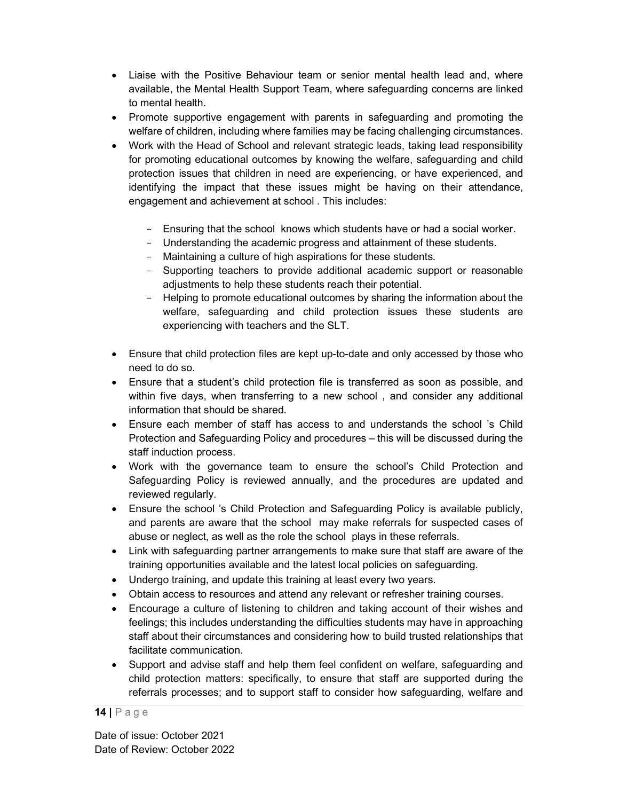- Liaise with the Positive Behaviour team or senior mental health lead and, where available, the Mental Health Support Team, where safeguarding concerns are linked to mental health.
- Promote supportive engagement with parents in safeguarding and promoting the welfare of children, including where families may be facing challenging circumstances.
- Work with the Head of School and relevant strategic leads, taking lead responsibility for promoting educational outcomes by knowing the welfare, safeguarding and child protection issues that children in need are experiencing, or have experienced, and identifying the impact that these issues might be having on their attendance, engagement and achievement at school . This includes:
	- Ensuring that the school knows which students have or had a social worker.
	- Understanding the academic progress and attainment of these students.
	- Maintaining a culture of high aspirations for these students.
	- Supporting teachers to provide additional academic support or reasonable adjustments to help these students reach their potential.
	- Helping to promote educational outcomes by sharing the information about the welfare, safeguarding and child protection issues these students are experiencing with teachers and the SLT.
- Ensure that child protection files are kept up-to-date and only accessed by those who need to do so.
- Ensure that a student's child protection file is transferred as soon as possible, and within five days, when transferring to a new school , and consider any additional information that should be shared.
- Ensure each member of staff has access to and understands the school 's Child Protection and Safeguarding Policy and procedures – this will be discussed during the staff induction process.
- Work with the governance team to ensure the school's Child Protection and Safeguarding Policy is reviewed annually, and the procedures are updated and reviewed regularly.
- Ensure the school 's Child Protection and Safeguarding Policy is available publicly, and parents are aware that the school may make referrals for suspected cases of abuse or neglect, as well as the role the school plays in these referrals.
- Link with safeguarding partner arrangements to make sure that staff are aware of the training opportunities available and the latest local policies on safeguarding.
- Undergo training, and update this training at least every two years.
- Obtain access to resources and attend any relevant or refresher training courses.
- Encourage a culture of listening to children and taking account of their wishes and feelings; this includes understanding the difficulties students may have in approaching staff about their circumstances and considering how to build trusted relationships that facilitate communication.
- Support and advise staff and help them feel confident on welfare, safeguarding and child protection matters: specifically, to ensure that staff are supported during the referrals processes; and to support staff to consider how safeguarding, welfare and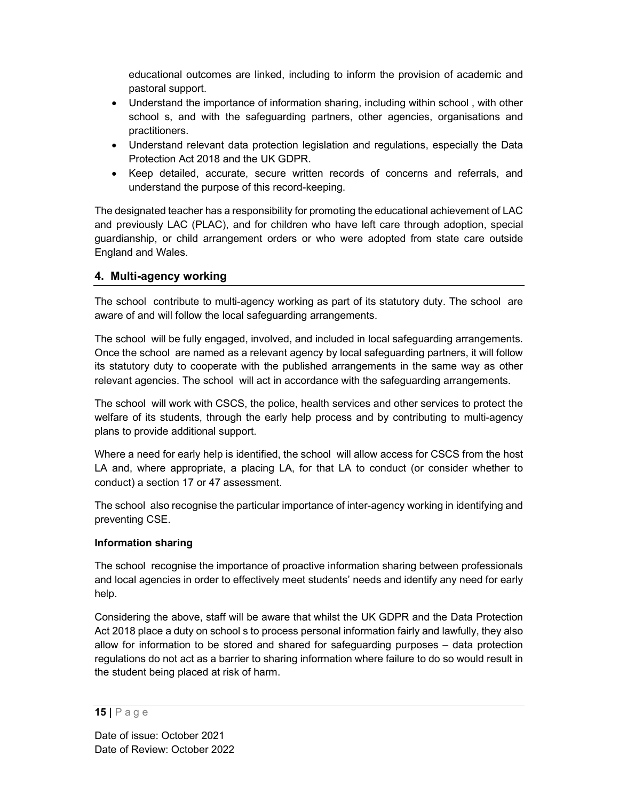educational outcomes are linked, including to inform the provision of academic and pastoral support.

- Understand the importance of information sharing, including within school , with other school s, and with the safeguarding partners, other agencies, organisations and practitioners.
- Understand relevant data protection legislation and regulations, especially the Data Protection Act 2018 and the UK GDPR.
- Keep detailed, accurate, secure written records of concerns and referrals, and understand the purpose of this record-keeping.

The designated teacher has a responsibility for promoting the educational achievement of LAC and previously LAC (PLAC), and for children who have left care through adoption, special guardianship, or child arrangement orders or who were adopted from state care outside England and Wales.

## 4. Multi-agency working

The school contribute to multi-agency working as part of its statutory duty. The school are aware of and will follow the local safeguarding arrangements.

The school will be fully engaged, involved, and included in local safeguarding arrangements. Once the school are named as a relevant agency by local safeguarding partners, it will follow its statutory duty to cooperate with the published arrangements in the same way as other relevant agencies. The school will act in accordance with the safeguarding arrangements.

The school will work with CSCS, the police, health services and other services to protect the welfare of its students, through the early help process and by contributing to multi-agency plans to provide additional support.

Where a need for early help is identified, the school will allow access for CSCS from the host LA and, where appropriate, a placing LA, for that LA to conduct (or consider whether to conduct) a section 17 or 47 assessment.

The school also recognise the particular importance of inter-agency working in identifying and preventing CSE.

#### Information sharing

The school recognise the importance of proactive information sharing between professionals and local agencies in order to effectively meet students' needs and identify any need for early help.

Considering the above, staff will be aware that whilst the UK GDPR and the Data Protection Act 2018 place a duty on school s to process personal information fairly and lawfully, they also allow for information to be stored and shared for safeguarding purposes – data protection regulations do not act as a barrier to sharing information where failure to do so would result in the student being placed at risk of harm.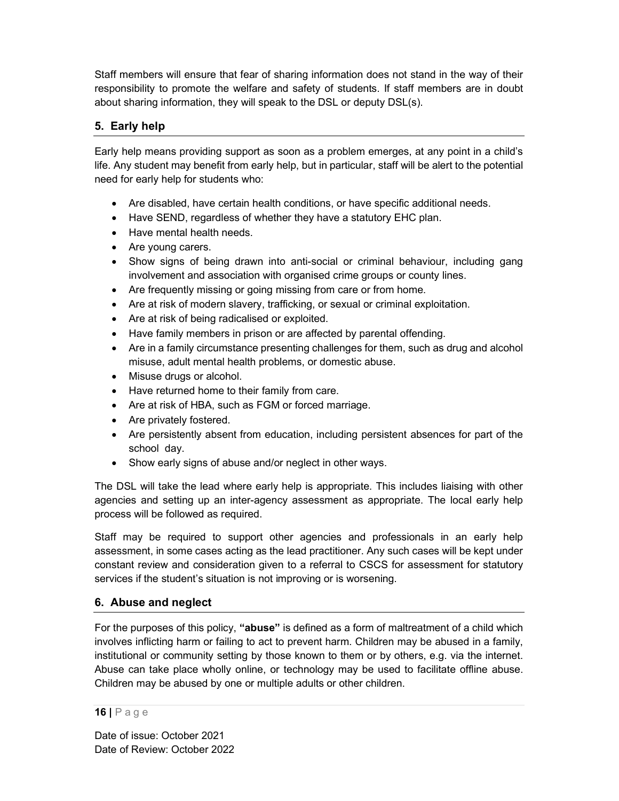Staff members will ensure that fear of sharing information does not stand in the way of their responsibility to promote the welfare and safety of students. If staff members are in doubt about sharing information, they will speak to the DSL or deputy DSL(s).

## 5. Early help

Early help means providing support as soon as a problem emerges, at any point in a child's life. Any student may benefit from early help, but in particular, staff will be alert to the potential need for early help for students who:

- Are disabled, have certain health conditions, or have specific additional needs.
- Have SEND, regardless of whether they have a statutory EHC plan.
- Have mental health needs.
- Are young carers.
- Show signs of being drawn into anti-social or criminal behaviour, including gang involvement and association with organised crime groups or county lines.
- Are frequently missing or going missing from care or from home.
- Are at risk of modern slavery, trafficking, or sexual or criminal exploitation.
- Are at risk of being radicalised or exploited.
- Have family members in prison or are affected by parental offending.
- Are in a family circumstance presenting challenges for them, such as drug and alcohol misuse, adult mental health problems, or domestic abuse.
- Misuse drugs or alcohol.
- Have returned home to their family from care.
- Are at risk of HBA, such as FGM or forced marriage.
- Are privately fostered.
- Are persistently absent from education, including persistent absences for part of the school day.
- Show early signs of abuse and/or neglect in other ways.

The DSL will take the lead where early help is appropriate. This includes liaising with other agencies and setting up an inter-agency assessment as appropriate. The local early help process will be followed as required.

Staff may be required to support other agencies and professionals in an early help assessment, in some cases acting as the lead practitioner. Any such cases will be kept under constant review and consideration given to a referral to CSCS for assessment for statutory services if the student's situation is not improving or is worsening.

## 6. Abuse and neglect

For the purposes of this policy, "abuse" is defined as a form of maltreatment of a child which involves inflicting harm or failing to act to prevent harm. Children may be abused in a family, institutional or community setting by those known to them or by others, e.g. via the internet. Abuse can take place wholly online, or technology may be used to facilitate offline abuse. Children may be abused by one or multiple adults or other children.

#### 16 | P a g e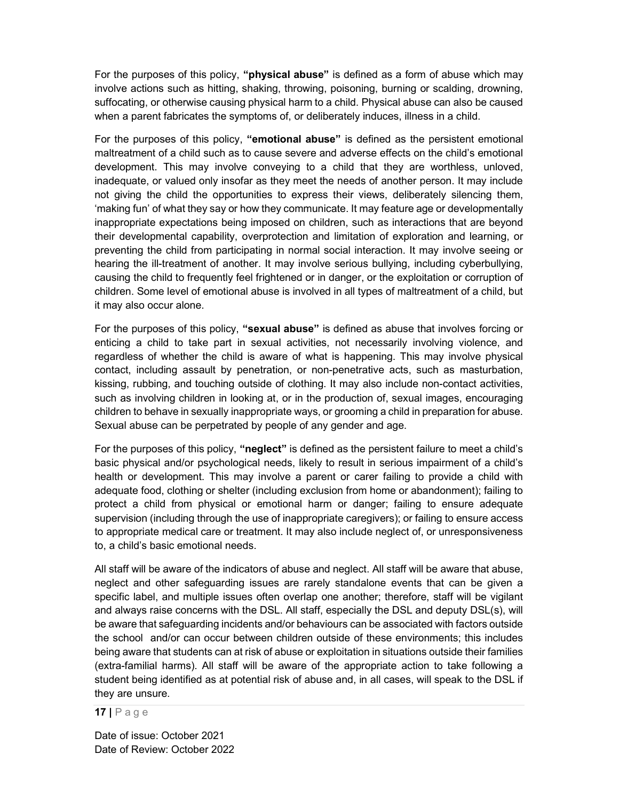For the purposes of this policy, "**physical abuse**" is defined as a form of abuse which may involve actions such as hitting, shaking, throwing, poisoning, burning or scalding, drowning, suffocating, or otherwise causing physical harm to a child. Physical abuse can also be caused when a parent fabricates the symptoms of, or deliberately induces, illness in a child.

For the purposes of this policy, "emotional abuse" is defined as the persistent emotional maltreatment of a child such as to cause severe and adverse effects on the child's emotional development. This may involve conveying to a child that they are worthless, unloved, inadequate, or valued only insofar as they meet the needs of another person. It may include not giving the child the opportunities to express their views, deliberately silencing them, 'making fun' of what they say or how they communicate. It may feature age or developmentally inappropriate expectations being imposed on children, such as interactions that are beyond their developmental capability, overprotection and limitation of exploration and learning, or preventing the child from participating in normal social interaction. It may involve seeing or hearing the ill-treatment of another. It may involve serious bullying, including cyberbullying, causing the child to frequently feel frightened or in danger, or the exploitation or corruption of children. Some level of emotional abuse is involved in all types of maltreatment of a child, but it may also occur alone.

For the purposes of this policy, "sexual abuse" is defined as abuse that involves forcing or enticing a child to take part in sexual activities, not necessarily involving violence, and regardless of whether the child is aware of what is happening. This may involve physical contact, including assault by penetration, or non-penetrative acts, such as masturbation, kissing, rubbing, and touching outside of clothing. It may also include non-contact activities, such as involving children in looking at, or in the production of, sexual images, encouraging children to behave in sexually inappropriate ways, or grooming a child in preparation for abuse. Sexual abuse can be perpetrated by people of any gender and age.

For the purposes of this policy, "neglect" is defined as the persistent failure to meet a child's basic physical and/or psychological needs, likely to result in serious impairment of a child's health or development. This may involve a parent or carer failing to provide a child with adequate food, clothing or shelter (including exclusion from home or abandonment); failing to protect a child from physical or emotional harm or danger; failing to ensure adequate supervision (including through the use of inappropriate caregivers); or failing to ensure access to appropriate medical care or treatment. It may also include neglect of, or unresponsiveness to, a child's basic emotional needs.

All staff will be aware of the indicators of abuse and neglect. All staff will be aware that abuse, neglect and other safeguarding issues are rarely standalone events that can be given a specific label, and multiple issues often overlap one another; therefore, staff will be vigilant and always raise concerns with the DSL. All staff, especially the DSL and deputy DSL(s), will be aware that safeguarding incidents and/or behaviours can be associated with factors outside the school and/or can occur between children outside of these environments; this includes being aware that students can at risk of abuse or exploitation in situations outside their families (extra-familial harms). All staff will be aware of the appropriate action to take following a student being identified as at potential risk of abuse and, in all cases, will speak to the DSL if they are unsure.

17 | P a g e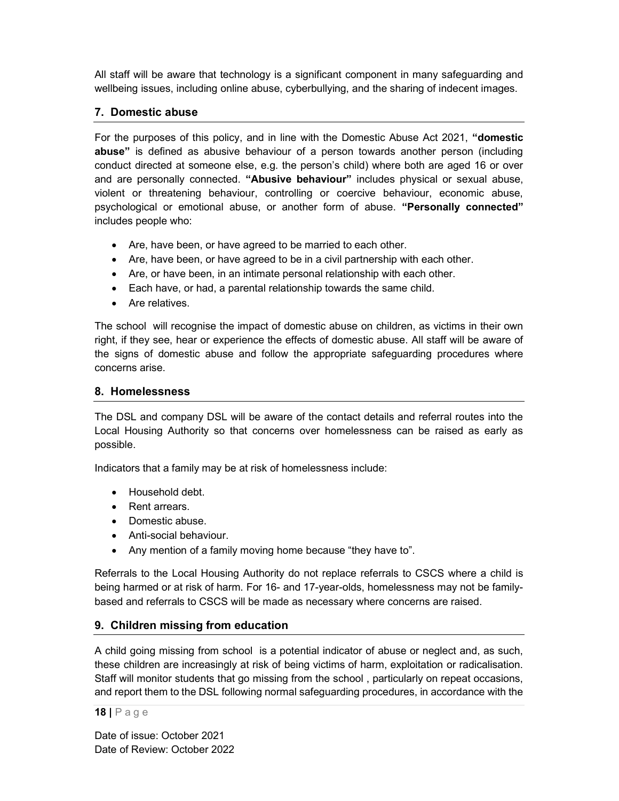All staff will be aware that technology is a significant component in many safeguarding and wellbeing issues, including online abuse, cyberbullying, and the sharing of indecent images.

## 7. Domestic abuse

For the purposes of this policy, and in line with the Domestic Abuse Act 2021, "domestic abuse" is defined as abusive behaviour of a person towards another person (including conduct directed at someone else, e.g. the person's child) where both are aged 16 or over and are personally connected. "Abusive behaviour" includes physical or sexual abuse, violent or threatening behaviour, controlling or coercive behaviour, economic abuse, psychological or emotional abuse, or another form of abuse. "Personally connected" includes people who:

- Are, have been, or have agreed to be married to each other.
- Are, have been, or have agreed to be in a civil partnership with each other.
- Are, or have been, in an intimate personal relationship with each other.
- Each have, or had, a parental relationship towards the same child.
- Are relatives.

The school will recognise the impact of domestic abuse on children, as victims in their own right, if they see, hear or experience the effects of domestic abuse. All staff will be aware of the signs of domestic abuse and follow the appropriate safeguarding procedures where concerns arise.

## 8. Homelessness

The DSL and company DSL will be aware of the contact details and referral routes into the Local Housing Authority so that concerns over homelessness can be raised as early as possible.

Indicators that a family may be at risk of homelessness include:

- Household debt.
- Rent arrears.
- Domestic abuse.
- Anti-social behaviour.
- Any mention of a family moving home because "they have to".

Referrals to the Local Housing Authority do not replace referrals to CSCS where a child is being harmed or at risk of harm. For 16- and 17-year-olds, homelessness may not be familybased and referrals to CSCS will be made as necessary where concerns are raised.

## 9. Children missing from education

A child going missing from school is a potential indicator of abuse or neglect and, as such, these children are increasingly at risk of being victims of harm, exploitation or radicalisation. Staff will monitor students that go missing from the school , particularly on repeat occasions, and report them to the DSL following normal safeguarding procedures, in accordance with the

18 | P a g e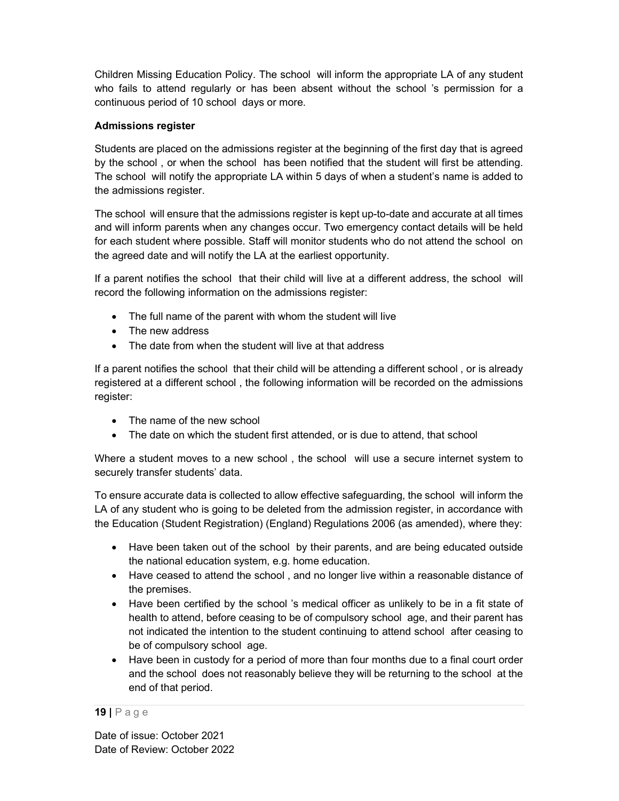Children Missing Education Policy. The school will inform the appropriate LA of any student who fails to attend regularly or has been absent without the school 's permission for a continuous period of 10 school days or more.

## Admissions register

Students are placed on the admissions register at the beginning of the first day that is agreed by the school , or when the school has been notified that the student will first be attending. The school will notify the appropriate LA within 5 days of when a student's name is added to the admissions register.

The school will ensure that the admissions register is kept up-to-date and accurate at all times and will inform parents when any changes occur. Two emergency contact details will be held for each student where possible. Staff will monitor students who do not attend the school on the agreed date and will notify the LA at the earliest opportunity.

If a parent notifies the school that their child will live at a different address, the school will record the following information on the admissions register:

- The full name of the parent with whom the student will live
- The new address
- The date from when the student will live at that address

If a parent notifies the school that their child will be attending a different school , or is already registered at a different school , the following information will be recorded on the admissions register:

- The name of the new school
- The date on which the student first attended, or is due to attend, that school

Where a student moves to a new school , the school will use a secure internet system to securely transfer students' data.

To ensure accurate data is collected to allow effective safeguarding, the school will inform the LA of any student who is going to be deleted from the admission register, in accordance with the Education (Student Registration) (England) Regulations 2006 (as amended), where they:

- Have been taken out of the school by their parents, and are being educated outside the national education system, e.g. home education.
- Have ceased to attend the school, and no longer live within a reasonable distance of the premises.
- Have been certified by the school 's medical officer as unlikely to be in a fit state of health to attend, before ceasing to be of compulsory school age, and their parent has not indicated the intention to the student continuing to attend school after ceasing to be of compulsory school age.
- Have been in custody for a period of more than four months due to a final court order and the school does not reasonably believe they will be returning to the school at the end of that period.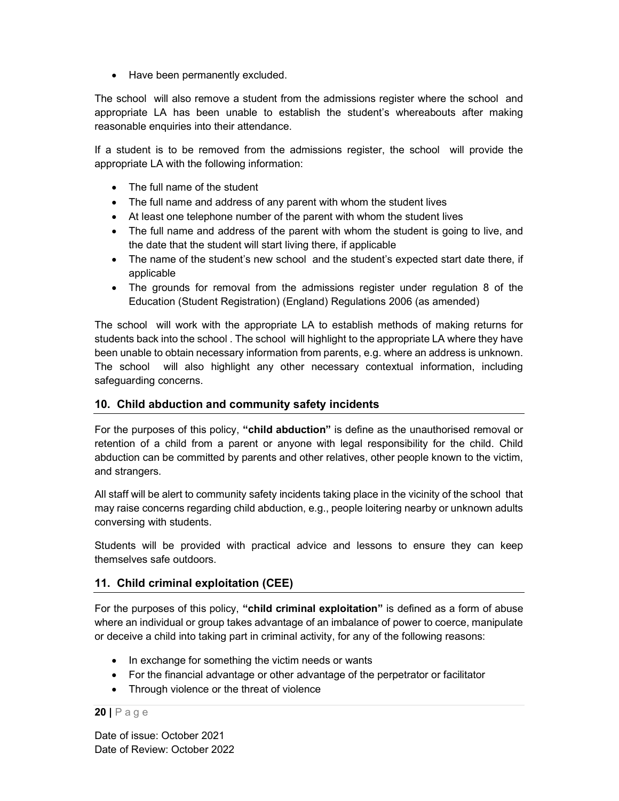• Have been permanently excluded.

The school will also remove a student from the admissions register where the school and appropriate LA has been unable to establish the student's whereabouts after making reasonable enquiries into their attendance.

If a student is to be removed from the admissions register, the school will provide the appropriate LA with the following information:

- The full name of the student
- The full name and address of any parent with whom the student lives
- At least one telephone number of the parent with whom the student lives
- The full name and address of the parent with whom the student is going to live, and the date that the student will start living there, if applicable
- The name of the student's new school and the student's expected start date there, if applicable
- The grounds for removal from the admissions register under regulation 8 of the Education (Student Registration) (England) Regulations 2006 (as amended)

The school will work with the appropriate LA to establish methods of making returns for students back into the school . The school will highlight to the appropriate LA where they have been unable to obtain necessary information from parents, e.g. where an address is unknown. The school will also highlight any other necessary contextual information, including safeguarding concerns.

## 10. Child abduction and community safety incidents

For the purposes of this policy, "child abduction" is define as the unauthorised removal or retention of a child from a parent or anyone with legal responsibility for the child. Child abduction can be committed by parents and other relatives, other people known to the victim, and strangers.

All staff will be alert to community safety incidents taking place in the vicinity of the school that may raise concerns regarding child abduction, e.g., people loitering nearby or unknown adults conversing with students.

Students will be provided with practical advice and lessons to ensure they can keep themselves safe outdoors.

## 11. Child criminal exploitation (CEE)

For the purposes of this policy, "child criminal exploitation" is defined as a form of abuse where an individual or group takes advantage of an imbalance of power to coerce, manipulate or deceive a child into taking part in criminal activity, for any of the following reasons:

- In exchange for something the victim needs or wants
- For the financial advantage or other advantage of the perpetrator or facilitator
- Through violence or the threat of violence

#### 20 | P a g e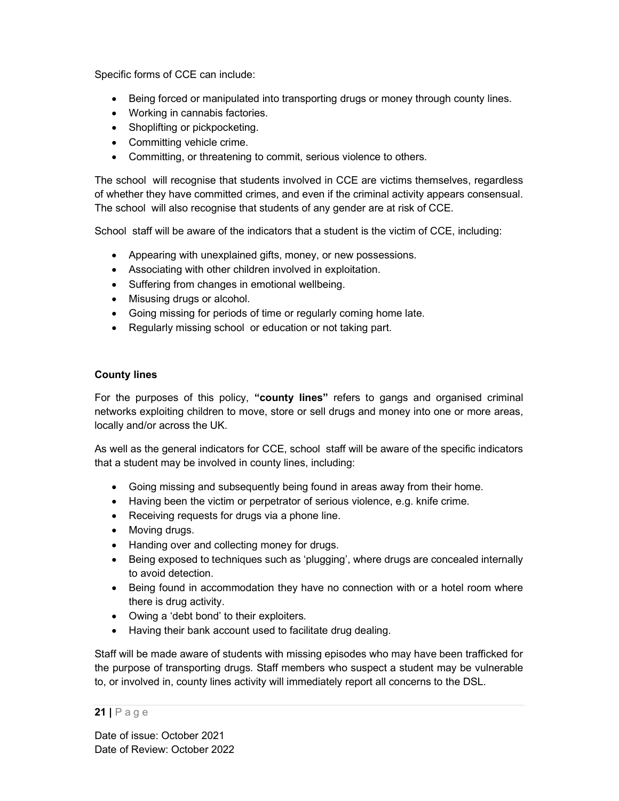Specific forms of CCE can include:

- Being forced or manipulated into transporting drugs or money through county lines.
- Working in cannabis factories.
- Shoplifting or pickpocketing.
- Committing vehicle crime.
- Committing, or threatening to commit, serious violence to others.

The school will recognise that students involved in CCE are victims themselves, regardless of whether they have committed crimes, and even if the criminal activity appears consensual. The school will also recognise that students of any gender are at risk of CCE.

School staff will be aware of the indicators that a student is the victim of CCE, including:

- Appearing with unexplained gifts, money, or new possessions.
- Associating with other children involved in exploitation.
- Suffering from changes in emotional wellbeing.
- Misusing drugs or alcohol.
- Going missing for periods of time or regularly coming home late.
- Regularly missing school or education or not taking part.

## County lines

For the purposes of this policy, "county lines" refers to gangs and organised criminal networks exploiting children to move, store or sell drugs and money into one or more areas, locally and/or across the UK.

As well as the general indicators for CCE, school staff will be aware of the specific indicators that a student may be involved in county lines, including:

- Going missing and subsequently being found in areas away from their home.
- Having been the victim or perpetrator of serious violence, e.g. knife crime.
- Receiving requests for drugs via a phone line.
- Moving drugs.
- Handing over and collecting money for drugs.
- Being exposed to techniques such as 'plugging', where drugs are concealed internally to avoid detection.
- Being found in accommodation they have no connection with or a hotel room where there is drug activity.
- Owing a 'debt bond' to their exploiters.
- Having their bank account used to facilitate drug dealing.

Staff will be made aware of students with missing episodes who may have been trafficked for the purpose of transporting drugs. Staff members who suspect a student may be vulnerable to, or involved in, county lines activity will immediately report all concerns to the DSL.

## $21$  | P a g e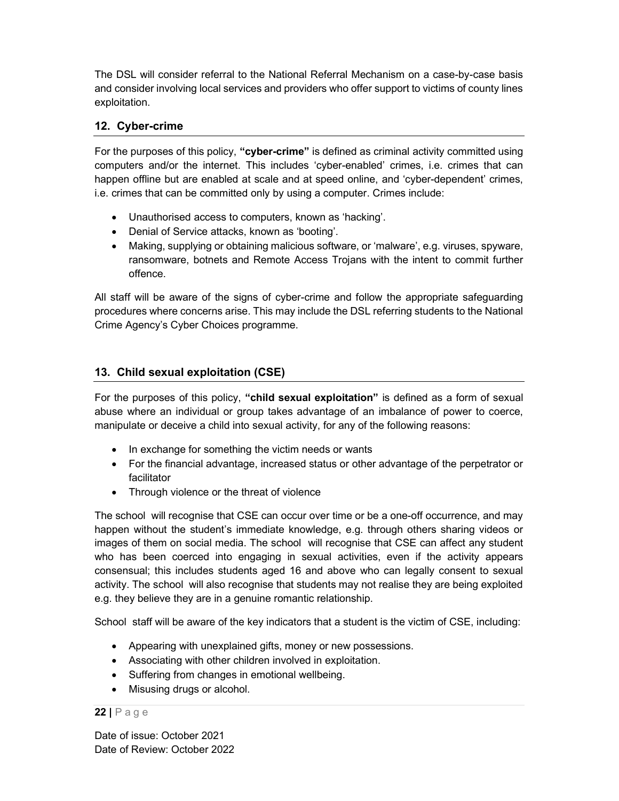The DSL will consider referral to the National Referral Mechanism on a case-by-case basis and consider involving local services and providers who offer support to victims of county lines exploitation.

## 12. Cyber-crime

For the purposes of this policy, "cyber-crime" is defined as criminal activity committed using computers and/or the internet. This includes 'cyber-enabled' crimes, i.e. crimes that can happen offline but are enabled at scale and at speed online, and 'cyber-dependent' crimes, i.e. crimes that can be committed only by using a computer. Crimes include:

- Unauthorised access to computers, known as 'hacking'.
- Denial of Service attacks, known as 'booting'.
- Making, supplying or obtaining malicious software, or 'malware', e.g. viruses, spyware, ransomware, botnets and Remote Access Trojans with the intent to commit further offence.

All staff will be aware of the signs of cyber-crime and follow the appropriate safeguarding procedures where concerns arise. This may include the DSL referring students to the National Crime Agency's Cyber Choices programme.

## 13. Child sexual exploitation (CSE)

For the purposes of this policy, "child sexual exploitation" is defined as a form of sexual abuse where an individual or group takes advantage of an imbalance of power to coerce, manipulate or deceive a child into sexual activity, for any of the following reasons:

- In exchange for something the victim needs or wants
- For the financial advantage, increased status or other advantage of the perpetrator or facilitator
- Through violence or the threat of violence

The school will recognise that CSE can occur over time or be a one-off occurrence, and may happen without the student's immediate knowledge, e.g. through others sharing videos or images of them on social media. The school will recognise that CSE can affect any student who has been coerced into engaging in sexual activities, even if the activity appears consensual; this includes students aged 16 and above who can legally consent to sexual activity. The school will also recognise that students may not realise they are being exploited e.g. they believe they are in a genuine romantic relationship.

School staff will be aware of the key indicators that a student is the victim of CSE, including:

- Appearing with unexplained gifts, money or new possessions.
- Associating with other children involved in exploitation.
- Suffering from changes in emotional wellbeing.
- Misusing drugs or alcohol.

#### $22 | P \text{age}$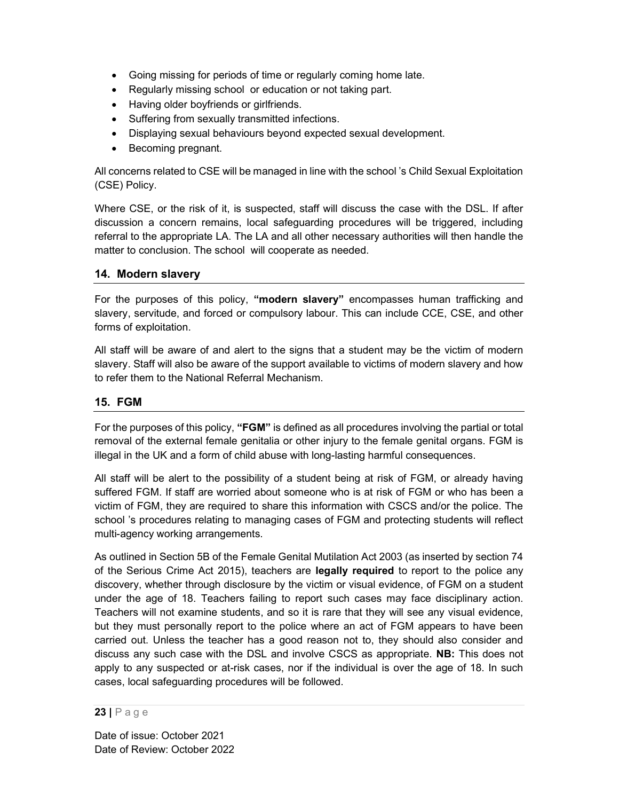- Going missing for periods of time or regularly coming home late.
- Regularly missing school or education or not taking part.
- Having older boyfriends or girlfriends.
- Suffering from sexually transmitted infections.
- Displaying sexual behaviours beyond expected sexual development.
- Becoming pregnant.

All concerns related to CSE will be managed in line with the school 's Child Sexual Exploitation (CSE) Policy.

Where CSE, or the risk of it, is suspected, staff will discuss the case with the DSL. If after discussion a concern remains, local safeguarding procedures will be triggered, including referral to the appropriate LA. The LA and all other necessary authorities will then handle the matter to conclusion. The school will cooperate as needed.

## 14. Modern slavery

For the purposes of this policy, "modern slavery" encompasses human trafficking and slavery, servitude, and forced or compulsory labour. This can include CCE, CSE, and other forms of exploitation.

All staff will be aware of and alert to the signs that a student may be the victim of modern slavery. Staff will also be aware of the support available to victims of modern slavery and how to refer them to the National Referral Mechanism.

## 15. FGM

For the purposes of this policy, "FGM" is defined as all procedures involving the partial or total removal of the external female genitalia or other injury to the female genital organs. FGM is illegal in the UK and a form of child abuse with long-lasting harmful consequences.

All staff will be alert to the possibility of a student being at risk of FGM, or already having suffered FGM. If staff are worried about someone who is at risk of FGM or who has been a victim of FGM, they are required to share this information with CSCS and/or the police. The school 's procedures relating to managing cases of FGM and protecting students will reflect multi-agency working arrangements.

As outlined in Section 5B of the Female Genital Mutilation Act 2003 (as inserted by section 74 of the Serious Crime Act 2015), teachers are legally required to report to the police any discovery, whether through disclosure by the victim or visual evidence, of FGM on a student under the age of 18. Teachers failing to report such cases may face disciplinary action. Teachers will not examine students, and so it is rare that they will see any visual evidence, but they must personally report to the police where an act of FGM appears to have been carried out. Unless the teacher has a good reason not to, they should also consider and discuss any such case with the DSL and involve CSCS as appropriate. NB: This does not apply to any suspected or at-risk cases, nor if the individual is over the age of 18. In such cases, local safeguarding procedures will be followed.

23 | P a g e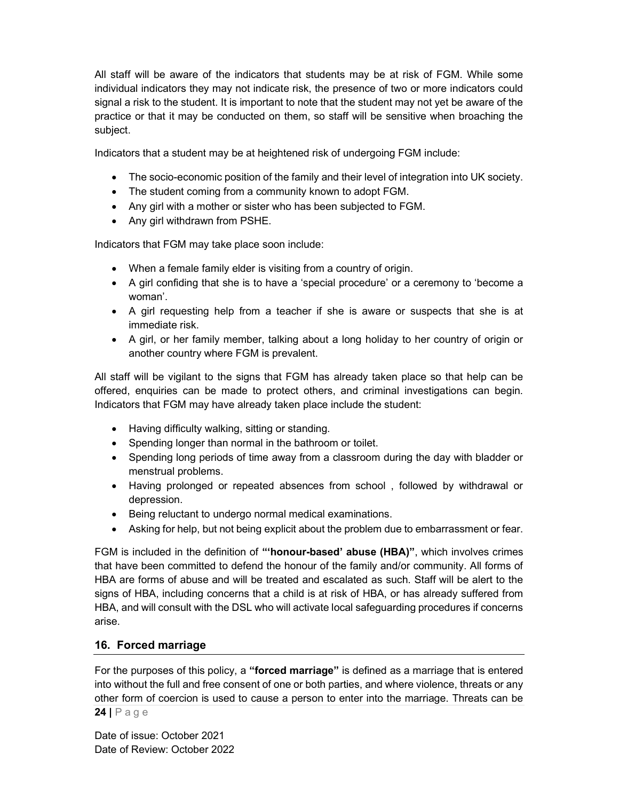All staff will be aware of the indicators that students may be at risk of FGM. While some individual indicators they may not indicate risk, the presence of two or more indicators could signal a risk to the student. It is important to note that the student may not yet be aware of the practice or that it may be conducted on them, so staff will be sensitive when broaching the subject.

Indicators that a student may be at heightened risk of undergoing FGM include:

- The socio-economic position of the family and their level of integration into UK society.
- The student coming from a community known to adopt FGM.
- Any girl with a mother or sister who has been subjected to FGM.
- Any girl withdrawn from PSHE.

Indicators that FGM may take place soon include:

- When a female family elder is visiting from a country of origin.
- A girl confiding that she is to have a 'special procedure' or a ceremony to 'become a woman'.
- A girl requesting help from a teacher if she is aware or suspects that she is at immediate risk.
- A girl, or her family member, talking about a long holiday to her country of origin or another country where FGM is prevalent.

All staff will be vigilant to the signs that FGM has already taken place so that help can be offered, enquiries can be made to protect others, and criminal investigations can begin. Indicators that FGM may have already taken place include the student:

- Having difficulty walking, sitting or standing.
- Spending longer than normal in the bathroom or toilet.
- Spending long periods of time away from a classroom during the day with bladder or menstrual problems.
- Having prolonged or repeated absences from school , followed by withdrawal or depression.
- Being reluctant to undergo normal medical examinations.
- Asking for help, but not being explicit about the problem due to embarrassment or fear.

FGM is included in the definition of "'honour-based' abuse (HBA)", which involves crimes that have been committed to defend the honour of the family and/or community. All forms of HBA are forms of abuse and will be treated and escalated as such. Staff will be alert to the signs of HBA, including concerns that a child is at risk of HBA, or has already suffered from HBA, and will consult with the DSL who will activate local safeguarding procedures if concerns arise.

## 16. Forced marriage

 $24$  | P a g e For the purposes of this policy, a "forced marriage" is defined as a marriage that is entered into without the full and free consent of one or both parties, and where violence, threats or any other form of coercion is used to cause a person to enter into the marriage. Threats can be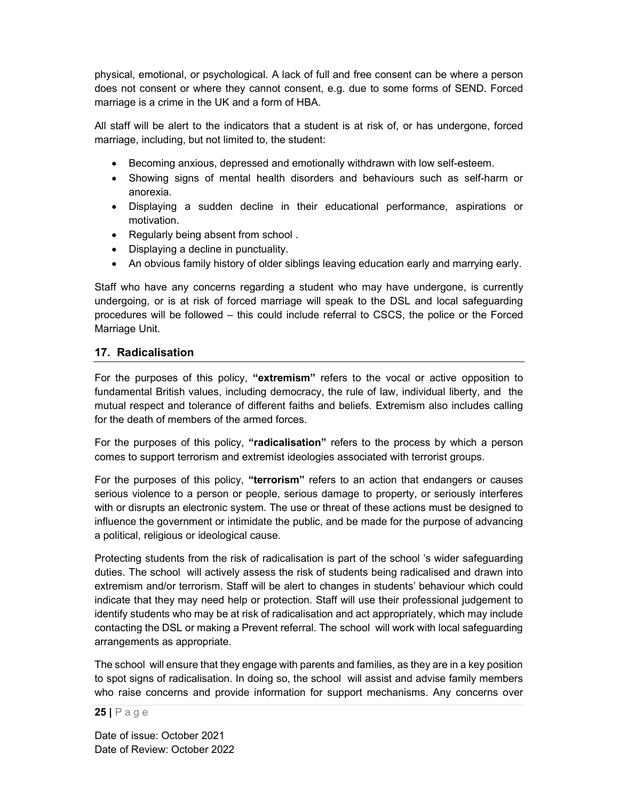physical, emotional, or psychological. A lack of full and free consent can be where a person does not consent or where they cannot consent, e.g. due to some forms of SEND. Forced marriage is a crime in the UK and a form of HBA.

All staff will be alert to the indicators that a student is at risk of, or has undergone, forced marriage, including, but not limited to, the student:

- Becoming anxious, depressed and emotionally withdrawn with low self-esteem.
- Showing signs of mental health disorders and behaviours such as self-harm or anorexia.
- Displaying a sudden decline in their educational performance, aspirations or motivation.
- Regularly being absent from school.
- Displaying a decline in punctuality.
- An obvious family history of older siblings leaving education early and marrying early.

Staff who have any concerns regarding a student who may have undergone, is currently undergoing, or is at risk of forced marriage will speak to the DSL and local safeguarding procedures will be followed – this could include referral to CSCS, the police or the Forced Marriage Unit.

#### 17. Radicalisation

For the purposes of this policy, "extremism" refers to the vocal or active opposition to fundamental British values, including democracy, the rule of law, individual liberty, and the mutual respect and tolerance of different faiths and beliefs. Extremism also includes calling for the death of members of the armed forces.

For the purposes of this policy, "radicalisation" refers to the process by which a person comes to support terrorism and extremist ideologies associated with terrorist groups.

For the purposes of this policy, "terrorism" refers to an action that endangers or causes serious violence to a person or people, serious damage to property, or seriously interferes with or disrupts an electronic system. The use or threat of these actions must be designed to influence the government or intimidate the public, and be made for the purpose of advancing a political, religious or ideological cause.

Protecting students from the risk of radicalisation is part of the school 's wider safeguarding duties. The school will actively assess the risk of students being radicalised and drawn into extremism and/or terrorism. Staff will be alert to changes in students' behaviour which could indicate that they may need help or protection. Staff will use their professional judgement to identify students who may be at risk of radicalisation and act appropriately, which may include contacting the DSL or making a Prevent referral. The school will work with local safeguarding arrangements as appropriate.

The school will ensure that they engage with parents and families, as they are in a key position to spot signs of radicalisation. In doing so, the school will assist and advise family members who raise concerns and provide information for support mechanisms. Any concerns over

 $25$  | Page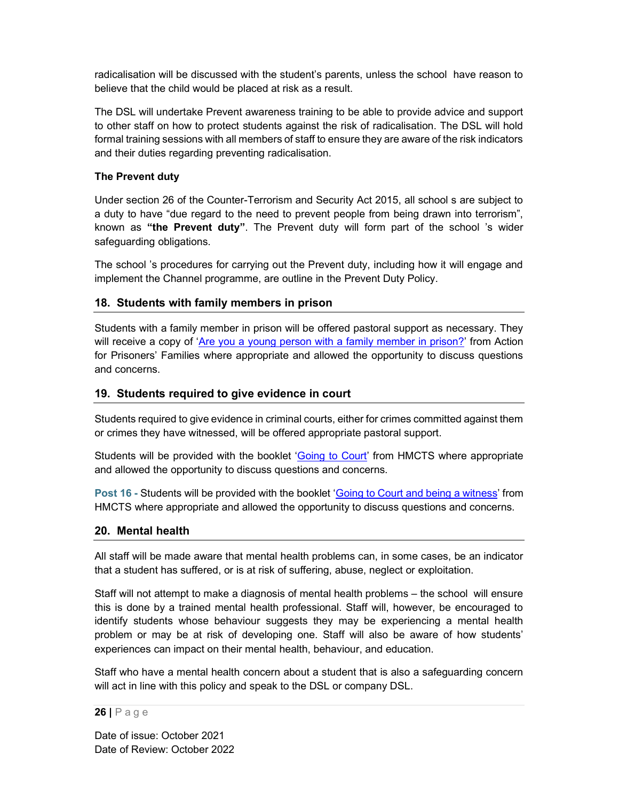radicalisation will be discussed with the student's parents, unless the school have reason to believe that the child would be placed at risk as a result.

The DSL will undertake Prevent awareness training to be able to provide advice and support to other staff on how to protect students against the risk of radicalisation. The DSL will hold formal training sessions with all members of staff to ensure they are aware of the risk indicators and their duties regarding preventing radicalisation.

#### The Prevent duty

Under section 26 of the Counter-Terrorism and Security Act 2015, all school s are subject to a duty to have "due regard to the need to prevent people from being drawn into terrorism", known as "the Prevent duty". The Prevent duty will form part of the school 's wider safeguarding obligations.

The school 's procedures for carrying out the Prevent duty, including how it will engage and implement the Channel programme, are outline in the Prevent Duty Policy.

## 18. Students with family members in prison

Students with a family member in prison will be offered pastoral support as necessary. They will receive a copy of 'Are you a young person with a family member in prison?' from Action for Prisoners' Families where appropriate and allowed the opportunity to discuss questions and concerns.

#### 19. Students required to give evidence in court

Students required to give evidence in criminal courts, either for crimes committed against them or crimes they have witnessed, will be offered appropriate pastoral support.

Students will be provided with the booklet 'Going to Court' from HMCTS where appropriate and allowed the opportunity to discuss questions and concerns.

Post 16 - Students will be provided with the booklet 'Going to Court and being a witness' from HMCTS where appropriate and allowed the opportunity to discuss questions and concerns.

## 20. Mental health

All staff will be made aware that mental health problems can, in some cases, be an indicator that a student has suffered, or is at risk of suffering, abuse, neglect or exploitation.

Staff will not attempt to make a diagnosis of mental health problems – the school will ensure this is done by a trained mental health professional. Staff will, however, be encouraged to identify students whose behaviour suggests they may be experiencing a mental health problem or may be at risk of developing one. Staff will also be aware of how students' experiences can impact on their mental health, behaviour, and education.

Staff who have a mental health concern about a student that is also a safeguarding concern will act in line with this policy and speak to the DSL or company DSL.

#### 26 | P a g e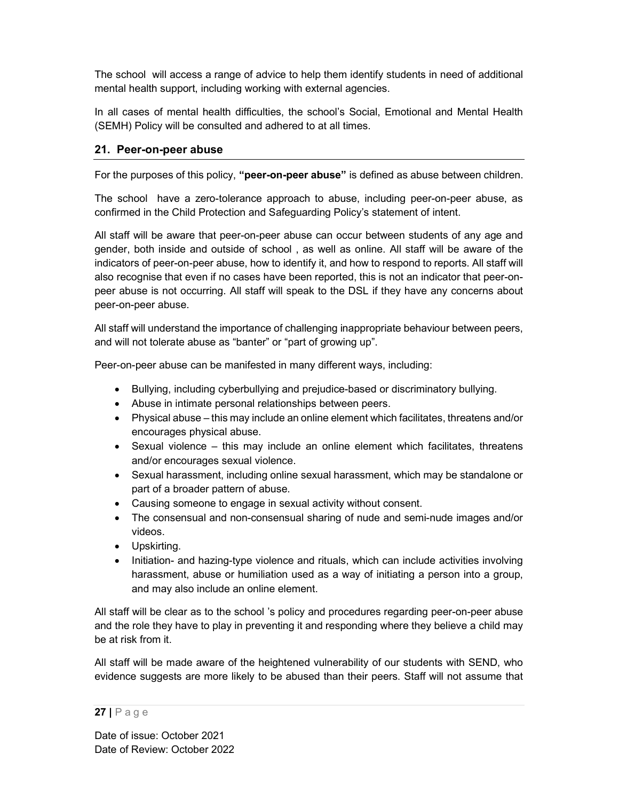The school will access a range of advice to help them identify students in need of additional mental health support, including working with external agencies.

In all cases of mental health difficulties, the school's Social, Emotional and Mental Health (SEMH) Policy will be consulted and adhered to at all times.

## 21. Peer-on-peer abuse

For the purposes of this policy, "peer-on-peer abuse" is defined as abuse between children.

The school have a zero-tolerance approach to abuse, including peer-on-peer abuse, as confirmed in the Child Protection and Safeguarding Policy's statement of intent.

All staff will be aware that peer-on-peer abuse can occur between students of any age and gender, both inside and outside of school , as well as online. All staff will be aware of the indicators of peer-on-peer abuse, how to identify it, and how to respond to reports. All staff will also recognise that even if no cases have been reported, this is not an indicator that peer-onpeer abuse is not occurring. All staff will speak to the DSL if they have any concerns about peer-on-peer abuse.

All staff will understand the importance of challenging inappropriate behaviour between peers, and will not tolerate abuse as "banter" or "part of growing up".

Peer-on-peer abuse can be manifested in many different ways, including:

- Bullying, including cyberbullying and prejudice-based or discriminatory bullying.
- Abuse in intimate personal relationships between peers.
- Physical abuse this may include an online element which facilitates, threatens and/or encourages physical abuse.
- Sexual violence this may include an online element which facilitates, threatens and/or encourages sexual violence.
- Sexual harassment, including online sexual harassment, which may be standalone or part of a broader pattern of abuse.
- Causing someone to engage in sexual activity without consent.
- The consensual and non-consensual sharing of nude and semi-nude images and/or videos.
- Upskirting.
- Initiation- and hazing-type violence and rituals, which can include activities involving harassment, abuse or humiliation used as a way of initiating a person into a group, and may also include an online element.

All staff will be clear as to the school 's policy and procedures regarding peer-on-peer abuse and the role they have to play in preventing it and responding where they believe a child may be at risk from it.

All staff will be made aware of the heightened vulnerability of our students with SEND, who evidence suggests are more likely to be abused than their peers. Staff will not assume that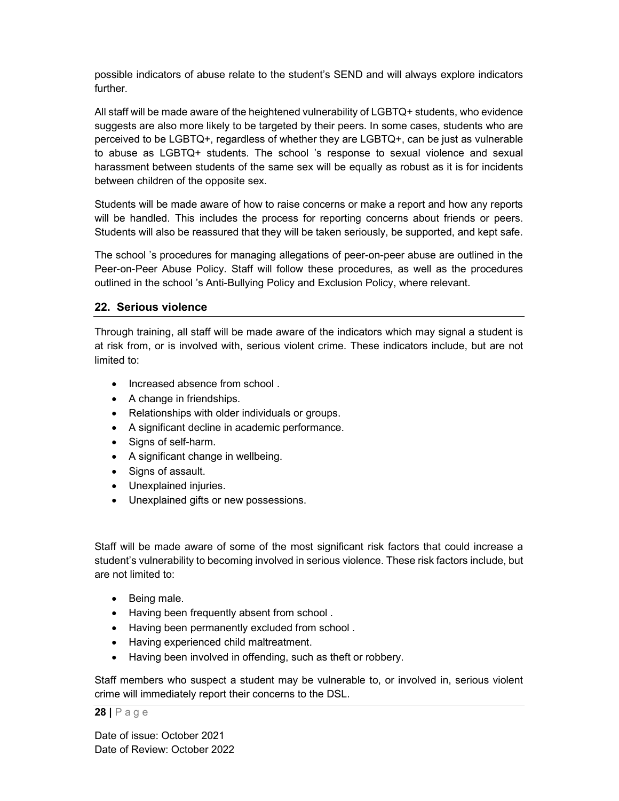possible indicators of abuse relate to the student's SEND and will always explore indicators further.

All staff will be made aware of the heightened vulnerability of LGBTQ+ students, who evidence suggests are also more likely to be targeted by their peers. In some cases, students who are perceived to be LGBTQ+, regardless of whether they are LGBTQ+, can be just as vulnerable to abuse as LGBTQ+ students. The school 's response to sexual violence and sexual harassment between students of the same sex will be equally as robust as it is for incidents between children of the opposite sex.

Students will be made aware of how to raise concerns or make a report and how any reports will be handled. This includes the process for reporting concerns about friends or peers. Students will also be reassured that they will be taken seriously, be supported, and kept safe.

The school 's procedures for managing allegations of peer-on-peer abuse are outlined in the Peer-on-Peer Abuse Policy. Staff will follow these procedures, as well as the procedures outlined in the school 's Anti-Bullying Policy and Exclusion Policy, where relevant.

#### 22. Serious violence

Through training, all staff will be made aware of the indicators which may signal a student is at risk from, or is involved with, serious violent crime. These indicators include, but are not limited to:

- Increased absence from school.
- A change in friendships.
- Relationships with older individuals or groups.
- A significant decline in academic performance.
- Signs of self-harm.
- A significant change in wellbeing.
- Signs of assault.
- Unexplained injuries.
- Unexplained gifts or new possessions.

Staff will be made aware of some of the most significant risk factors that could increase a student's vulnerability to becoming involved in serious violence. These risk factors include, but are not limited to:

- Being male.
- Having been frequently absent from school.
- Having been permanently excluded from school.
- Having experienced child maltreatment.
- Having been involved in offending, such as theft or robbery.

Staff members who suspect a student may be vulnerable to, or involved in, serious violent crime will immediately report their concerns to the DSL.

#### $28$  | P a g e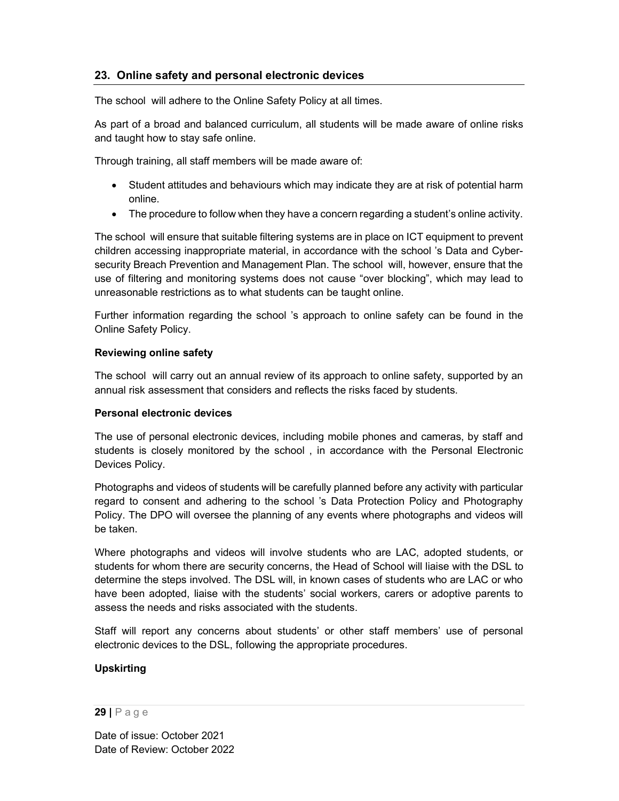## 23. Online safety and personal electronic devices

The school will adhere to the Online Safety Policy at all times.

As part of a broad and balanced curriculum, all students will be made aware of online risks and taught how to stay safe online.

Through training, all staff members will be made aware of:

- Student attitudes and behaviours which may indicate they are at risk of potential harm online.
- The procedure to follow when they have a concern regarding a student's online activity.

The school will ensure that suitable filtering systems are in place on ICT equipment to prevent children accessing inappropriate material, in accordance with the school 's Data and Cybersecurity Breach Prevention and Management Plan. The school will, however, ensure that the use of filtering and monitoring systems does not cause "over blocking", which may lead to unreasonable restrictions as to what students can be taught online.

Further information regarding the school 's approach to online safety can be found in the Online Safety Policy.

#### Reviewing online safety

The school will carry out an annual review of its approach to online safety, supported by an annual risk assessment that considers and reflects the risks faced by students.

#### Personal electronic devices

The use of personal electronic devices, including mobile phones and cameras, by staff and students is closely monitored by the school , in accordance with the Personal Electronic Devices Policy.

Photographs and videos of students will be carefully planned before any activity with particular regard to consent and adhering to the school 's Data Protection Policy and Photography Policy. The DPO will oversee the planning of any events where photographs and videos will be taken.

Where photographs and videos will involve students who are LAC, adopted students, or students for whom there are security concerns, the Head of School will liaise with the DSL to determine the steps involved. The DSL will, in known cases of students who are LAC or who have been adopted, liaise with the students' social workers, carers or adoptive parents to assess the needs and risks associated with the students.

Staff will report any concerns about students' or other staff members' use of personal electronic devices to the DSL, following the appropriate procedures.

#### Upskirting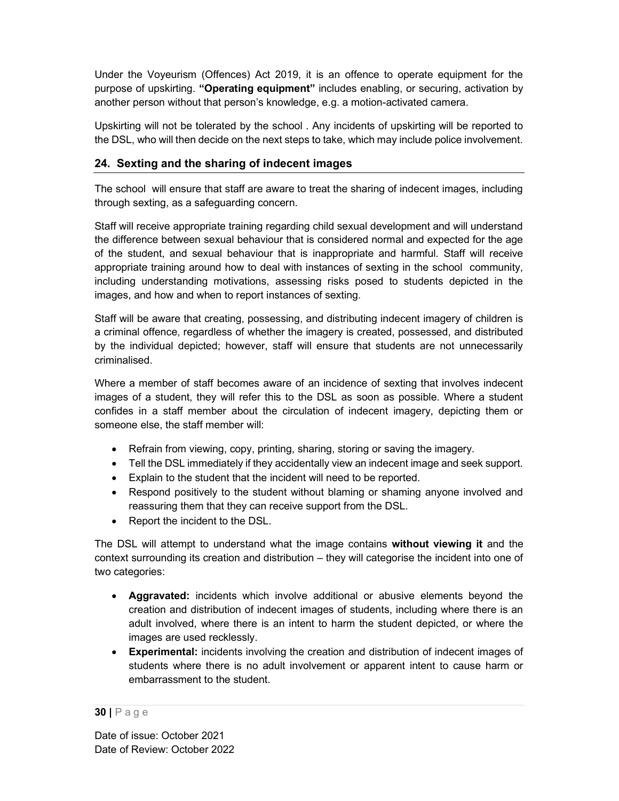Under the Voyeurism (Offences) Act 2019, it is an offence to operate equipment for the purpose of upskirting. "Operating equipment" includes enabling, or securing, activation by another person without that person's knowledge, e.g. a motion-activated camera.

Upskirting will not be tolerated by the school . Any incidents of upskirting will be reported to the DSL, who will then decide on the next steps to take, which may include police involvement.

## 24. Sexting and the sharing of indecent images

The school will ensure that staff are aware to treat the sharing of indecent images, including through sexting, as a safeguarding concern.

Staff will receive appropriate training regarding child sexual development and will understand the difference between sexual behaviour that is considered normal and expected for the age of the student, and sexual behaviour that is inappropriate and harmful. Staff will receive appropriate training around how to deal with instances of sexting in the school community, including understanding motivations, assessing risks posed to students depicted in the images, and how and when to report instances of sexting.

Staff will be aware that creating, possessing, and distributing indecent imagery of children is a criminal offence, regardless of whether the imagery is created, possessed, and distributed by the individual depicted; however, staff will ensure that students are not unnecessarily criminalised.

Where a member of staff becomes aware of an incidence of sexting that involves indecent images of a student, they will refer this to the DSL as soon as possible. Where a student confides in a staff member about the circulation of indecent imagery, depicting them or someone else, the staff member will:

- Refrain from viewing, copy, printing, sharing, storing or saving the imagery.
- Tell the DSL immediately if they accidentally view an indecent image and seek support.
- Explain to the student that the incident will need to be reported.
- Respond positively to the student without blaming or shaming anyone involved and reassuring them that they can receive support from the DSL.
- Report the incident to the DSL.

The DSL will attempt to understand what the image contains without viewing it and the context surrounding its creation and distribution – they will categorise the incident into one of two categories:

- Aggravated: incidents which involve additional or abusive elements beyond the creation and distribution of indecent images of students, including where there is an adult involved, where there is an intent to harm the student depicted, or where the images are used recklessly.
- Experimental: incidents involving the creation and distribution of indecent images of students where there is no adult involvement or apparent intent to cause harm or embarrassment to the student.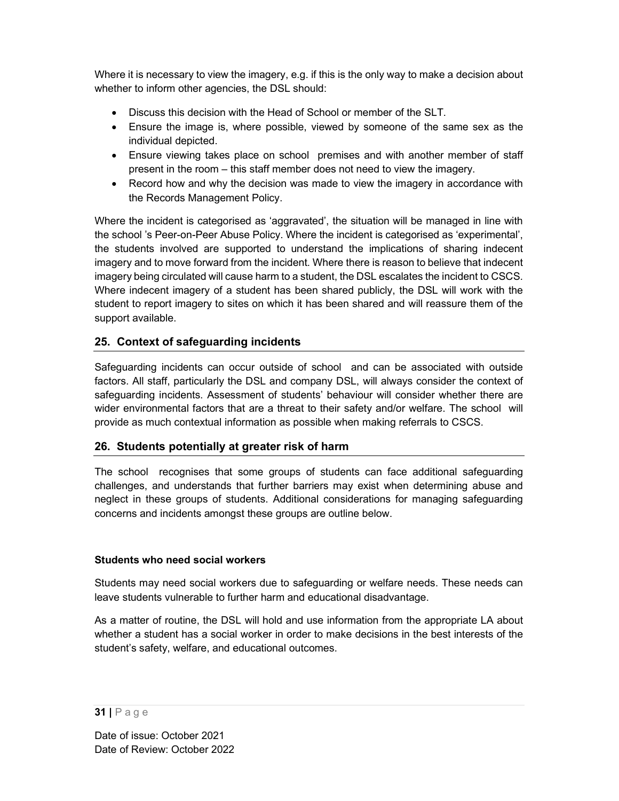Where it is necessary to view the imagery, e.g. if this is the only way to make a decision about whether to inform other agencies, the DSL should:

- Discuss this decision with the Head of School or member of the SLT.
- Ensure the image is, where possible, viewed by someone of the same sex as the individual depicted.
- Ensure viewing takes place on school premises and with another member of staff present in the room – this staff member does not need to view the imagery.
- Record how and why the decision was made to view the imagery in accordance with the Records Management Policy.

Where the incident is categorised as 'aggravated', the situation will be managed in line with the school 's Peer-on-Peer Abuse Policy. Where the incident is categorised as 'experimental', the students involved are supported to understand the implications of sharing indecent imagery and to move forward from the incident. Where there is reason to believe that indecent imagery being circulated will cause harm to a student, the DSL escalates the incident to CSCS. Where indecent imagery of a student has been shared publicly, the DSL will work with the student to report imagery to sites on which it has been shared and will reassure them of the support available.

## 25. Context of safeguarding incidents

Safeguarding incidents can occur outside of school and can be associated with outside factors. All staff, particularly the DSL and company DSL, will always consider the context of safeguarding incidents. Assessment of students' behaviour will consider whether there are wider environmental factors that are a threat to their safety and/or welfare. The school will provide as much contextual information as possible when making referrals to CSCS.

## 26. Students potentially at greater risk of harm

The school recognises that some groups of students can face additional safeguarding challenges, and understands that further barriers may exist when determining abuse and neglect in these groups of students. Additional considerations for managing safeguarding concerns and incidents amongst these groups are outline below.

## Students who need social workers

Students may need social workers due to safeguarding or welfare needs. These needs can leave students vulnerable to further harm and educational disadvantage.

As a matter of routine, the DSL will hold and use information from the appropriate LA about whether a student has a social worker in order to make decisions in the best interests of the student's safety, welfare, and educational outcomes.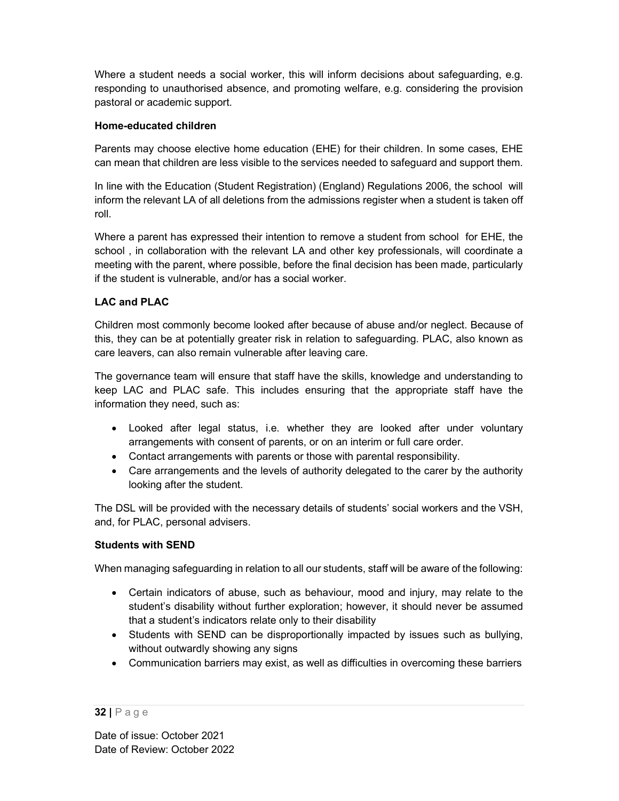Where a student needs a social worker, this will inform decisions about safeguarding, e.g. responding to unauthorised absence, and promoting welfare, e.g. considering the provision pastoral or academic support.

## Home-educated children

Parents may choose elective home education (EHE) for their children. In some cases, EHE can mean that children are less visible to the services needed to safeguard and support them.

In line with the Education (Student Registration) (England) Regulations 2006, the school will inform the relevant LA of all deletions from the admissions register when a student is taken off roll.

Where a parent has expressed their intention to remove a student from school for EHE, the school , in collaboration with the relevant LA and other key professionals, will coordinate a meeting with the parent, where possible, before the final decision has been made, particularly if the student is vulnerable, and/or has a social worker.

## LAC and PLAC

Children most commonly become looked after because of abuse and/or neglect. Because of this, they can be at potentially greater risk in relation to safeguarding. PLAC, also known as care leavers, can also remain vulnerable after leaving care.

The governance team will ensure that staff have the skills, knowledge and understanding to keep LAC and PLAC safe. This includes ensuring that the appropriate staff have the information they need, such as:

- Looked after legal status, i.e. whether they are looked after under voluntary arrangements with consent of parents, or on an interim or full care order.
- Contact arrangements with parents or those with parental responsibility.
- Care arrangements and the levels of authority delegated to the carer by the authority looking after the student.

The DSL will be provided with the necessary details of students' social workers and the VSH, and, for PLAC, personal advisers.

## Students with SEND

When managing safeguarding in relation to all our students, staff will be aware of the following:

- Certain indicators of abuse, such as behaviour, mood and injury, may relate to the student's disability without further exploration; however, it should never be assumed that a student's indicators relate only to their disability
- Students with SEND can be disproportionally impacted by issues such as bullying, without outwardly showing any signs
- Communication barriers may exist, as well as difficulties in overcoming these barriers

<sup>32 |</sup> P a g e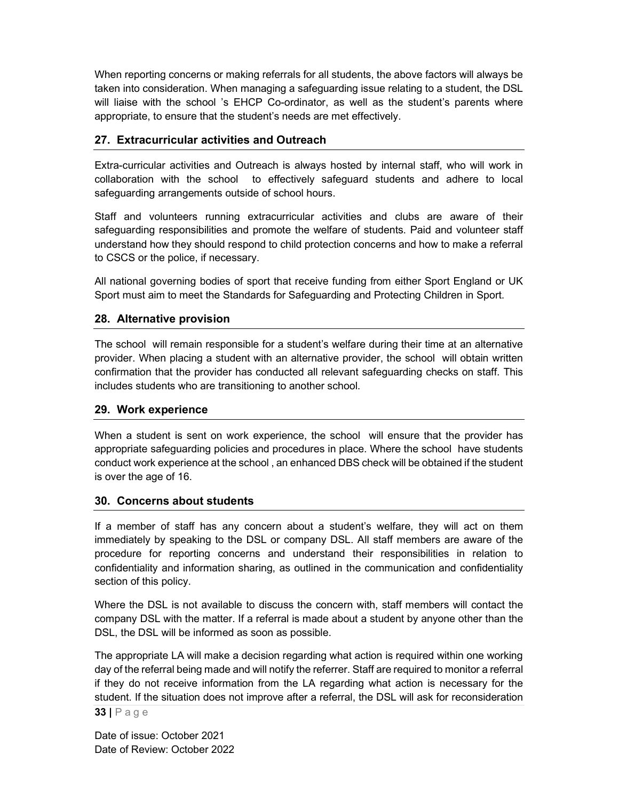When reporting concerns or making referrals for all students, the above factors will always be taken into consideration. When managing a safeguarding issue relating to a student, the DSL will liaise with the school 's EHCP Co-ordinator, as well as the student's parents where appropriate, to ensure that the student's needs are met effectively.

## 27. Extracurricular activities and Outreach

Extra-curricular activities and Outreach is always hosted by internal staff, who will work in collaboration with the school to effectively safeguard students and adhere to local safeguarding arrangements outside of school hours.

Staff and volunteers running extracurricular activities and clubs are aware of their safeguarding responsibilities and promote the welfare of students. Paid and volunteer staff understand how they should respond to child protection concerns and how to make a referral to CSCS or the police, if necessary.

All national governing bodies of sport that receive funding from either Sport England or UK Sport must aim to meet the Standards for Safeguarding and Protecting Children in Sport.

## 28. Alternative provision

The school will remain responsible for a student's welfare during their time at an alternative provider. When placing a student with an alternative provider, the school will obtain written confirmation that the provider has conducted all relevant safeguarding checks on staff. This includes students who are transitioning to another school.

#### 29. Work experience

When a student is sent on work experience, the school will ensure that the provider has appropriate safeguarding policies and procedures in place. Where the school have students conduct work experience at the school , an enhanced DBS check will be obtained if the student is over the age of 16.

## 30. Concerns about students

If a member of staff has any concern about a student's welfare, they will act on them immediately by speaking to the DSL or company DSL. All staff members are aware of the procedure for reporting concerns and understand their responsibilities in relation to confidentiality and information sharing, as outlined in the communication and confidentiality section of this policy.

Where the DSL is not available to discuss the concern with, staff members will contact the company DSL with the matter. If a referral is made about a student by anyone other than the DSL, the DSL will be informed as soon as possible.

33 | P a g e The appropriate LA will make a decision regarding what action is required within one working day of the referral being made and will notify the referrer. Staff are required to monitor a referral if they do not receive information from the LA regarding what action is necessary for the student. If the situation does not improve after a referral, the DSL will ask for reconsideration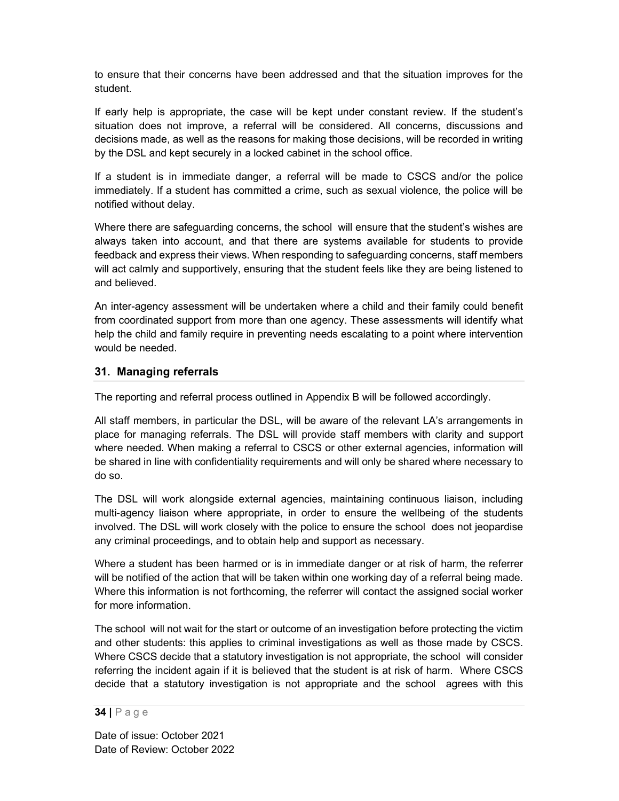to ensure that their concerns have been addressed and that the situation improves for the student.

If early help is appropriate, the case will be kept under constant review. If the student's situation does not improve, a referral will be considered. All concerns, discussions and decisions made, as well as the reasons for making those decisions, will be recorded in writing by the DSL and kept securely in a locked cabinet in the school office.

If a student is in immediate danger, a referral will be made to CSCS and/or the police immediately. If a student has committed a crime, such as sexual violence, the police will be notified without delay.

Where there are safeguarding concerns, the school will ensure that the student's wishes are always taken into account, and that there are systems available for students to provide feedback and express their views. When responding to safeguarding concerns, staff members will act calmly and supportively, ensuring that the student feels like they are being listened to and believed.

An inter-agency assessment will be undertaken where a child and their family could benefit from coordinated support from more than one agency. These assessments will identify what help the child and family require in preventing needs escalating to a point where intervention would be needed.

#### 31. Managing referrals

The reporting and referral process outlined in Appendix B will be followed accordingly.

All staff members, in particular the DSL, will be aware of the relevant LA's arrangements in place for managing referrals. The DSL will provide staff members with clarity and support where needed. When making a referral to CSCS or other external agencies, information will be shared in line with confidentiality requirements and will only be shared where necessary to do so.

The DSL will work alongside external agencies, maintaining continuous liaison, including multi-agency liaison where appropriate, in order to ensure the wellbeing of the students involved. The DSL will work closely with the police to ensure the school does not jeopardise any criminal proceedings, and to obtain help and support as necessary.

Where a student has been harmed or is in immediate danger or at risk of harm, the referrer will be notified of the action that will be taken within one working day of a referral being made. Where this information is not forthcoming, the referrer will contact the assigned social worker for more information.

The school will not wait for the start or outcome of an investigation before protecting the victim and other students: this applies to criminal investigations as well as those made by CSCS. Where CSCS decide that a statutory investigation is not appropriate, the school will consider referring the incident again if it is believed that the student is at risk of harm. Where CSCS decide that a statutory investigation is not appropriate and the school agrees with this

#### 34 | P a g e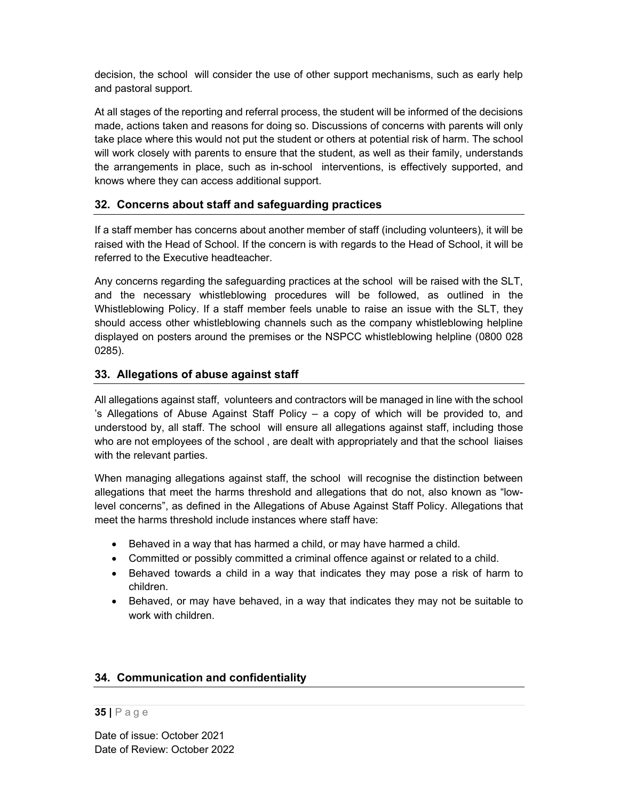decision, the school will consider the use of other support mechanisms, such as early help and pastoral support.

At all stages of the reporting and referral process, the student will be informed of the decisions made, actions taken and reasons for doing so. Discussions of concerns with parents will only take place where this would not put the student or others at potential risk of harm. The school will work closely with parents to ensure that the student, as well as their family, understands the arrangements in place, such as in-school interventions, is effectively supported, and knows where they can access additional support.

## 32. Concerns about staff and safeguarding practices

If a staff member has concerns about another member of staff (including volunteers), it will be raised with the Head of School. If the concern is with regards to the Head of School, it will be referred to the Executive headteacher.

Any concerns regarding the safeguarding practices at the school will be raised with the SLT, and the necessary whistleblowing procedures will be followed, as outlined in the Whistleblowing Policy. If a staff member feels unable to raise an issue with the SLT, they should access other whistleblowing channels such as the company whistleblowing helpline displayed on posters around the premises or the NSPCC whistleblowing helpline (0800 028 0285).

## 33. Allegations of abuse against staff

All allegations against staff, volunteers and contractors will be managed in line with the school 's Allegations of Abuse Against Staff Policy – a copy of which will be provided to, and understood by, all staff. The school will ensure all allegations against staff, including those who are not employees of the school , are dealt with appropriately and that the school liaises with the relevant parties.

When managing allegations against staff, the school will recognise the distinction between allegations that meet the harms threshold and allegations that do not, also known as "lowlevel concerns", as defined in the Allegations of Abuse Against Staff Policy. Allegations that meet the harms threshold include instances where staff have:

- Behaved in a way that has harmed a child, or may have harmed a child.
- Committed or possibly committed a criminal offence against or related to a child.
- Behaved towards a child in a way that indicates they may pose a risk of harm to children.
- Behaved, or may have behaved, in a way that indicates they may not be suitable to work with children.

## 34. Communication and confidentiality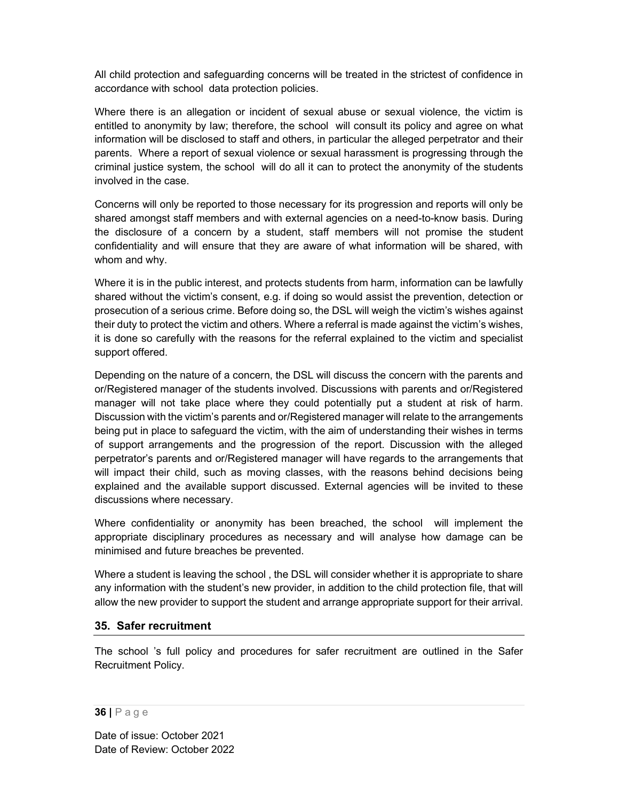All child protection and safeguarding concerns will be treated in the strictest of confidence in accordance with school data protection policies.

Where there is an allegation or incident of sexual abuse or sexual violence, the victim is entitled to anonymity by law; therefore, the school will consult its policy and agree on what information will be disclosed to staff and others, in particular the alleged perpetrator and their parents. Where a report of sexual violence or sexual harassment is progressing through the criminal justice system, the school will do all it can to protect the anonymity of the students involved in the case.

Concerns will only be reported to those necessary for its progression and reports will only be shared amongst staff members and with external agencies on a need-to-know basis. During the disclosure of a concern by a student, staff members will not promise the student confidentiality and will ensure that they are aware of what information will be shared, with whom and why.

Where it is in the public interest, and protects students from harm, information can be lawfully shared without the victim's consent, e.g. if doing so would assist the prevention, detection or prosecution of a serious crime. Before doing so, the DSL will weigh the victim's wishes against their duty to protect the victim and others. Where a referral is made against the victim's wishes, it is done so carefully with the reasons for the referral explained to the victim and specialist support offered.

Depending on the nature of a concern, the DSL will discuss the concern with the parents and or/Registered manager of the students involved. Discussions with parents and or/Registered manager will not take place where they could potentially put a student at risk of harm. Discussion with the victim's parents and or/Registered manager will relate to the arrangements being put in place to safeguard the victim, with the aim of understanding their wishes in terms of support arrangements and the progression of the report. Discussion with the alleged perpetrator's parents and or/Registered manager will have regards to the arrangements that will impact their child, such as moving classes, with the reasons behind decisions being explained and the available support discussed. External agencies will be invited to these discussions where necessary.

Where confidentiality or anonymity has been breached, the school will implement the appropriate disciplinary procedures as necessary and will analyse how damage can be minimised and future breaches be prevented.

Where a student is leaving the school , the DSL will consider whether it is appropriate to share any information with the student's new provider, in addition to the child protection file, that will allow the new provider to support the student and arrange appropriate support for their arrival.

## 35. Safer recruitment

The school 's full policy and procedures for safer recruitment are outlined in the Safer Recruitment Policy.

#### 36 | P a g e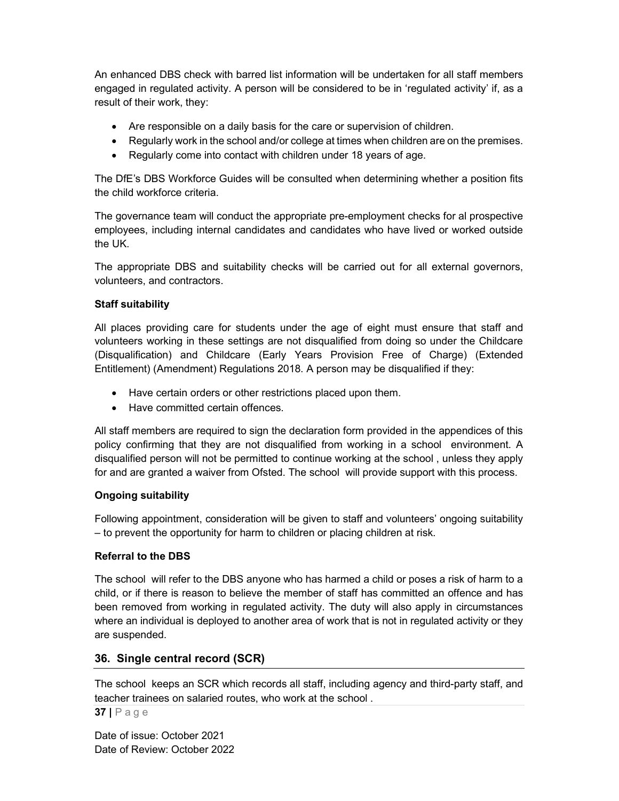An enhanced DBS check with barred list information will be undertaken for all staff members engaged in regulated activity. A person will be considered to be in 'regulated activity' if, as a result of their work, they:

- Are responsible on a daily basis for the care or supervision of children.
- Regularly work in the school and/or college at times when children are on the premises.
- Regularly come into contact with children under 18 years of age.

The DfE's DBS Workforce Guides will be consulted when determining whether a position fits the child workforce criteria.

The governance team will conduct the appropriate pre-employment checks for al prospective employees, including internal candidates and candidates who have lived or worked outside the UK.

The appropriate DBS and suitability checks will be carried out for all external governors, volunteers, and contractors.

## Staff suitability

All places providing care for students under the age of eight must ensure that staff and volunteers working in these settings are not disqualified from doing so under the Childcare (Disqualification) and Childcare (Early Years Provision Free of Charge) (Extended Entitlement) (Amendment) Regulations 2018. A person may be disqualified if they:

- Have certain orders or other restrictions placed upon them.
- Have committed certain offences.

All staff members are required to sign the declaration form provided in the appendices of this policy confirming that they are not disqualified from working in a school environment. A disqualified person will not be permitted to continue working at the school , unless they apply for and are granted a waiver from Ofsted. The school will provide support with this process.

## Ongoing suitability

Following appointment, consideration will be given to staff and volunteers' ongoing suitability – to prevent the opportunity for harm to children or placing children at risk.

## Referral to the DBS

The school will refer to the DBS anyone who has harmed a child or poses a risk of harm to a child, or if there is reason to believe the member of staff has committed an offence and has been removed from working in regulated activity. The duty will also apply in circumstances where an individual is deployed to another area of work that is not in regulated activity or they are suspended.

## 36. Single central record (SCR)

The school keeps an SCR which records all staff, including agency and third-party staff, and teacher trainees on salaried routes, who work at the school .

37 | P a g e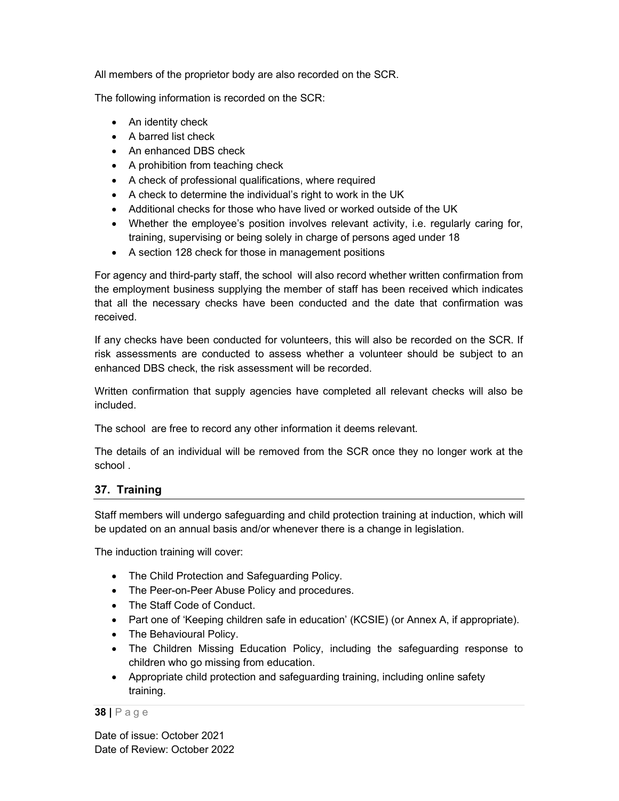All members of the proprietor body are also recorded on the SCR.

The following information is recorded on the SCR:

- An identity check
- A barred list check
- An enhanced DBS check
- A prohibition from teaching check
- A check of professional qualifications, where required
- A check to determine the individual's right to work in the UK
- Additional checks for those who have lived or worked outside of the UK
- Whether the employee's position involves relevant activity, i.e. regularly caring for, training, supervising or being solely in charge of persons aged under 18
- A section 128 check for those in management positions

For agency and third-party staff, the school will also record whether written confirmation from the employment business supplying the member of staff has been received which indicates that all the necessary checks have been conducted and the date that confirmation was received.

If any checks have been conducted for volunteers, this will also be recorded on the SCR. If risk assessments are conducted to assess whether a volunteer should be subject to an enhanced DBS check, the risk assessment will be recorded.

Written confirmation that supply agencies have completed all relevant checks will also be included.

The school are free to record any other information it deems relevant.

The details of an individual will be removed from the SCR once they no longer work at the school .

## 37. Training

Staff members will undergo safeguarding and child protection training at induction, which will be updated on an annual basis and/or whenever there is a change in legislation.

The induction training will cover:

- The Child Protection and Safeguarding Policy.
- The Peer-on-Peer Abuse Policy and procedures.
- The Staff Code of Conduct.
- Part one of 'Keeping children safe in education' (KCSIE) (or Annex A, if appropriate).
- The Behavioural Policy.
- The Children Missing Education Policy, including the safeguarding response to children who go missing from education.
- Appropriate child protection and safeguarding training, including online safety training.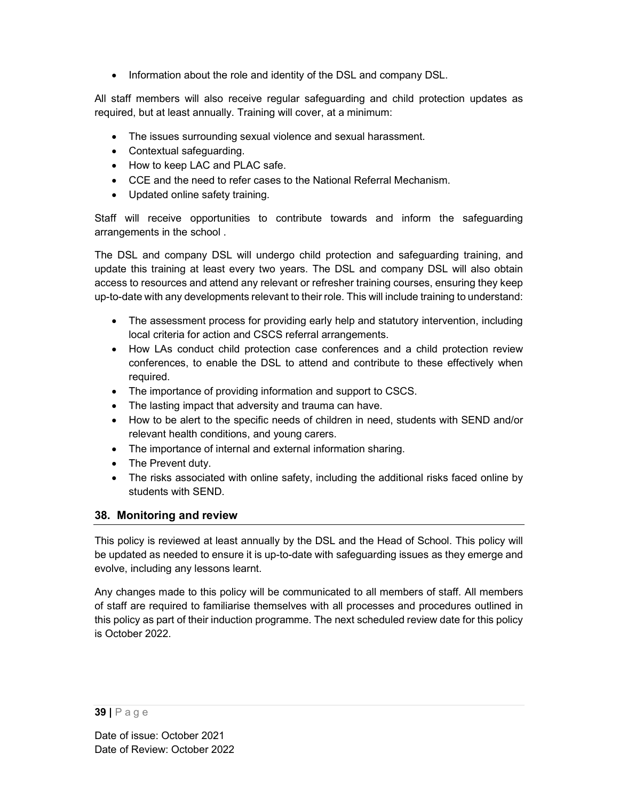• Information about the role and identity of the DSL and company DSL.

All staff members will also receive regular safeguarding and child protection updates as required, but at least annually. Training will cover, at a minimum:

- The issues surrounding sexual violence and sexual harassment.
- Contextual safeguarding.
- How to keep LAC and PLAC safe.
- CCE and the need to refer cases to the National Referral Mechanism.
- Updated online safety training.

Staff will receive opportunities to contribute towards and inform the safeguarding arrangements in the school .

The DSL and company DSL will undergo child protection and safeguarding training, and update this training at least every two years. The DSL and company DSL will also obtain access to resources and attend any relevant or refresher training courses, ensuring they keep up-to-date with any developments relevant to their role. This will include training to understand:

- The assessment process for providing early help and statutory intervention, including local criteria for action and CSCS referral arrangements.
- How LAs conduct child protection case conferences and a child protection review conferences, to enable the DSL to attend and contribute to these effectively when required.
- The importance of providing information and support to CSCS.
- The lasting impact that adversity and trauma can have.
- How to be alert to the specific needs of children in need, students with SEND and/or relevant health conditions, and young carers.
- The importance of internal and external information sharing.
- The Prevent duty.
- The risks associated with online safety, including the additional risks faced online by students with SEND.

## 38. Monitoring and review

This policy is reviewed at least annually by the DSL and the Head of School. This policy will be updated as needed to ensure it is up-to-date with safeguarding issues as they emerge and evolve, including any lessons learnt.

Any changes made to this policy will be communicated to all members of staff. All members of staff are required to familiarise themselves with all processes and procedures outlined in this policy as part of their induction programme. The next scheduled review date for this policy is October 2022.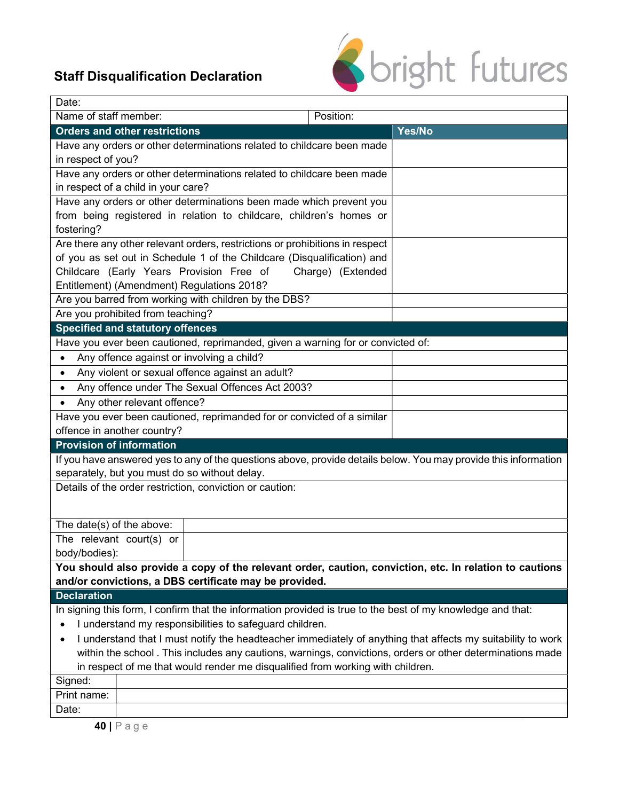# Staff Disqualification Declaration



| Date:                                                                                                            |                                                                        |                                                                                 |                   |                                                                                                                 |  |  |
|------------------------------------------------------------------------------------------------------------------|------------------------------------------------------------------------|---------------------------------------------------------------------------------|-------------------|-----------------------------------------------------------------------------------------------------------------|--|--|
| Name of staff member:                                                                                            |                                                                        |                                                                                 | Position:         |                                                                                                                 |  |  |
|                                                                                                                  | <b>Orders and other restrictions</b>                                   |                                                                                 |                   | Yes/No                                                                                                          |  |  |
|                                                                                                                  | Have any orders or other determinations related to childcare been made |                                                                                 |                   |                                                                                                                 |  |  |
|                                                                                                                  | in respect of you?                                                     |                                                                                 |                   |                                                                                                                 |  |  |
|                                                                                                                  |                                                                        | Have any orders or other determinations related to childcare been made          |                   |                                                                                                                 |  |  |
|                                                                                                                  | in respect of a child in your care?                                    |                                                                                 |                   |                                                                                                                 |  |  |
|                                                                                                                  |                                                                        | Have any orders or other determinations been made which prevent you             |                   |                                                                                                                 |  |  |
|                                                                                                                  |                                                                        | from being registered in relation to childcare, children's homes or             |                   |                                                                                                                 |  |  |
| fostering?                                                                                                       |                                                                        |                                                                                 |                   |                                                                                                                 |  |  |
|                                                                                                                  |                                                                        | Are there any other relevant orders, restrictions or prohibitions in respect    |                   |                                                                                                                 |  |  |
|                                                                                                                  |                                                                        | of you as set out in Schedule 1 of the Childcare (Disqualification) and         |                   |                                                                                                                 |  |  |
|                                                                                                                  |                                                                        | Childcare (Early Years Provision Free of                                        | Charge) (Extended |                                                                                                                 |  |  |
|                                                                                                                  |                                                                        | Entitlement) (Amendment) Regulations 2018?                                      |                   |                                                                                                                 |  |  |
|                                                                                                                  |                                                                        | Are you barred from working with children by the DBS?                           |                   |                                                                                                                 |  |  |
|                                                                                                                  | Are you prohibited from teaching?                                      |                                                                                 |                   |                                                                                                                 |  |  |
|                                                                                                                  | <b>Specified and statutory offences</b>                                |                                                                                 |                   |                                                                                                                 |  |  |
|                                                                                                                  |                                                                        | Have you ever been cautioned, reprimanded, given a warning for or convicted of: |                   |                                                                                                                 |  |  |
| $\bullet$                                                                                                        |                                                                        | Any offence against or involving a child?                                       |                   |                                                                                                                 |  |  |
| $\bullet$                                                                                                        |                                                                        | Any violent or sexual offence against an adult?                                 |                   |                                                                                                                 |  |  |
| $\bullet$                                                                                                        |                                                                        | Any offence under The Sexual Offences Act 2003?                                 |                   |                                                                                                                 |  |  |
| $\bullet$                                                                                                        | Any other relevant offence?                                            |                                                                                 |                   |                                                                                                                 |  |  |
|                                                                                                                  |                                                                        | Have you ever been cautioned, reprimanded for or convicted of a similar         |                   |                                                                                                                 |  |  |
|                                                                                                                  | offence in another country?                                            |                                                                                 |                   |                                                                                                                 |  |  |
| <b>Provision of information</b>                                                                                  |                                                                        |                                                                                 |                   |                                                                                                                 |  |  |
|                                                                                                                  |                                                                        |                                                                                 |                   | If you have answered yes to any of the questions above, provide details below. You may provide this information |  |  |
|                                                                                                                  |                                                                        | separately, but you must do so without delay.                                   |                   |                                                                                                                 |  |  |
|                                                                                                                  |                                                                        | Details of the order restriction, conviction or caution:                        |                   |                                                                                                                 |  |  |
|                                                                                                                  |                                                                        |                                                                                 |                   |                                                                                                                 |  |  |
| The date(s) of the above:                                                                                        |                                                                        |                                                                                 |                   |                                                                                                                 |  |  |
|                                                                                                                  | The relevant court(s) or                                               |                                                                                 |                   |                                                                                                                 |  |  |
| body/bodies):                                                                                                    |                                                                        |                                                                                 |                   |                                                                                                                 |  |  |
|                                                                                                                  |                                                                        |                                                                                 |                   | You should also provide a copy of the relevant order, caution, conviction, etc. In relation to cautions         |  |  |
|                                                                                                                  |                                                                        | and/or convictions, a DBS certificate may be provided.                          |                   |                                                                                                                 |  |  |
| <b>Declaration</b>                                                                                               |                                                                        |                                                                                 |                   |                                                                                                                 |  |  |
|                                                                                                                  |                                                                        |                                                                                 |                   | In signing this form, I confirm that the information provided is true to the best of my knowledge and that:     |  |  |
| I understand my responsibilities to safeguard children.                                                          |                                                                        |                                                                                 |                   |                                                                                                                 |  |  |
| I understand that I must notify the headteacher immediately of anything that affects my suitability to work<br>٠ |                                                                        |                                                                                 |                   |                                                                                                                 |  |  |
| within the school. This includes any cautions, warnings, convictions, orders or other determinations made        |                                                                        |                                                                                 |                   |                                                                                                                 |  |  |
| in respect of me that would render me disqualified from working with children.                                   |                                                                        |                                                                                 |                   |                                                                                                                 |  |  |
| Signed:                                                                                                          |                                                                        |                                                                                 |                   |                                                                                                                 |  |  |
| Print name:                                                                                                      |                                                                        |                                                                                 |                   |                                                                                                                 |  |  |
| Date:                                                                                                            |                                                                        |                                                                                 |                   |                                                                                                                 |  |  |
|                                                                                                                  | ADIDROQ                                                                |                                                                                 |                   |                                                                                                                 |  |  |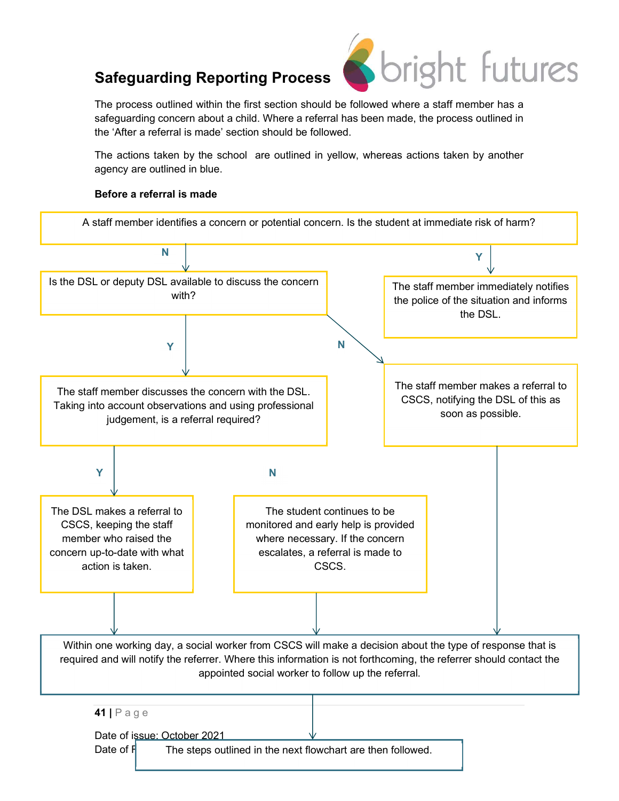

The process outlined within the first section should be followed where a staff member has a safeguarding concern about a child. Where a referral has been made, the process outlined in the 'After a referral is made' section should be followed.

The actions taken by the school are outlined in yellow, whereas actions taken by another agency are outlined in blue.

## Before a referral is made